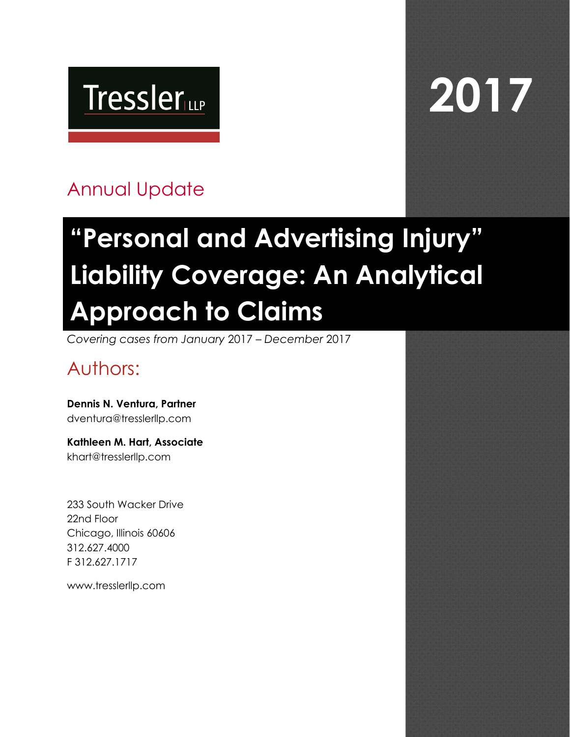# **Tressler**

# **2017**

## Annual Update

# **"Personal and Advertising Injury" Liability Coverage: An Analytical Approach to Claims**

*Covering cases from January* 2017 *– December* 2017

## Authors:

**Dennis N. Ventura, Partner** dventura@tresslerllp.com

**Kathleen M. Hart, Associate**  khart@tresslerllp.com

233 South Wacker Drive 22nd Floor Chicago, Illinois 60606 312.627.4000 F 312.627.1717

www.tresslerllp.com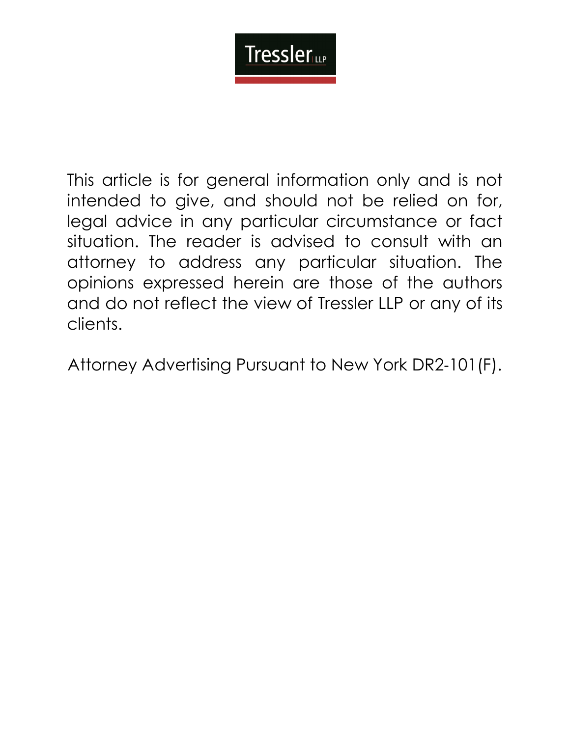## **Tressler**

This article is for general information only and is not intended to give, and should not be relied on for, legal advice in any particular circumstance or fact situation. The reader is advised to consult with an attorney to address any particular situation. The opinions expressed herein are those of the authors and do not reflect the view of Tressler LLP or any of its clients.

Attorney Advertising Pursuant to New York DR2‐101(F).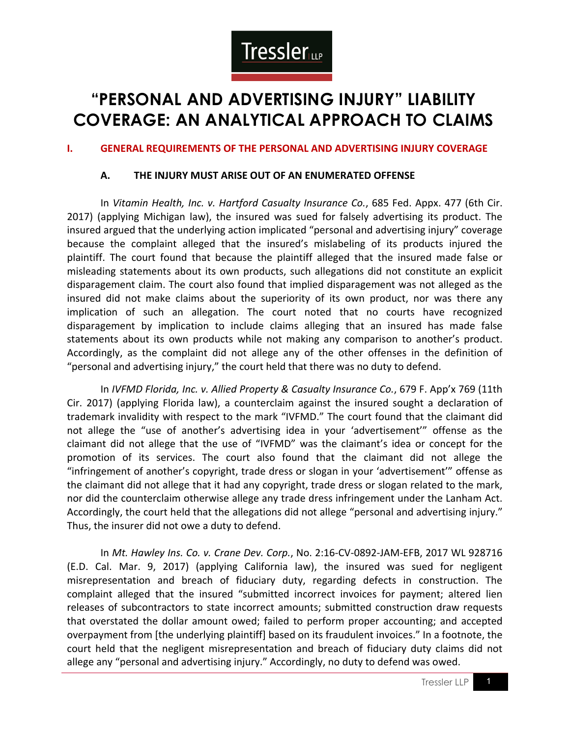

### **"PERSONAL AND ADVERTISING INJURY" LIABILITY COVERAGE: AN ANALYTICAL APPROACH TO CLAIMS**

#### **I. GENERAL REQUIREMENTS OF THE PERSONAL AND ADVERTISING INJURY COVERAGE**

#### **A. THE INJURY MUST ARISE OUT OF AN ENUMERATED OFFENSE**

In *Vitamin Health, Inc. v. Hartford Casualty Insurance Co.*, 685 Fed. Appx. 477 (6th Cir. 2017) (applying Michigan law), the insured was sued for falsely advertising its product. The insured argued that the underlying action implicated "personal and advertising injury" coverage because the complaint alleged that the insured's mislabeling of its products injured the plaintiff. The court found that because the plaintiff alleged that the insured made false or misleading statements about its own products, such allegations did not constitute an explicit disparagement claim. The court also found that implied disparagement was not alleged as the insured did not make claims about the superiority of its own product, nor was there any implication of such an allegation. The court noted that no courts have recognized disparagement by implication to include claims alleging that an insured has made false statements about its own products while not making any comparison to another's product. Accordingly, as the complaint did not allege any of the other offenses in the definition of "personal and advertising injury," the court held that there was no duty to defend.

In *IVFMD Florida, Inc. v. Allied Property & Casualty Insurance Co.*, 679 F. App'x 769 (11th Cir. 2017) (applying Florida law), a counterclaim against the insured sought a declaration of trademark invalidity with respect to the mark "IVFMD." The court found that the claimant did not allege the "use of another's advertising idea in your 'advertisement'" offense as the claimant did not allege that the use of "IVFMD" was the claimant's idea or concept for the promotion of its services. The court also found that the claimant did not allege the "infringement of another's copyright, trade dress or slogan in your 'advertisement'" offense as the claimant did not allege that it had any copyright, trade dress or slogan related to the mark, nor did the counterclaim otherwise allege any trade dress infringement under the Lanham Act. Accordingly, the court held that the allegations did not allege "personal and advertising injury." Thus, the insurer did not owe a duty to defend.

In *Mt. Hawley Ins. Co. v. Crane Dev. Corp.*, No. 2:16-CV-0892-JAM-EFB, 2017 WL 928716 (E.D. Cal. Mar. 9, 2017) (applying California law), the insured was sued for negligent misrepresentation and breach of fiduciary duty, regarding defects in construction. The complaint alleged that the insured "submitted incorrect invoices for payment; altered lien releases of subcontractors to state incorrect amounts; submitted construction draw requests that overstated the dollar amount owed; failed to perform proper accounting; and accepted overpayment from [the underlying plaintiff] based on its fraudulent invoices." In a footnote, the court held that the negligent misrepresentation and breach of fiduciary duty claims did not allege any "personal and advertising injury." Accordingly, no duty to defend was owed.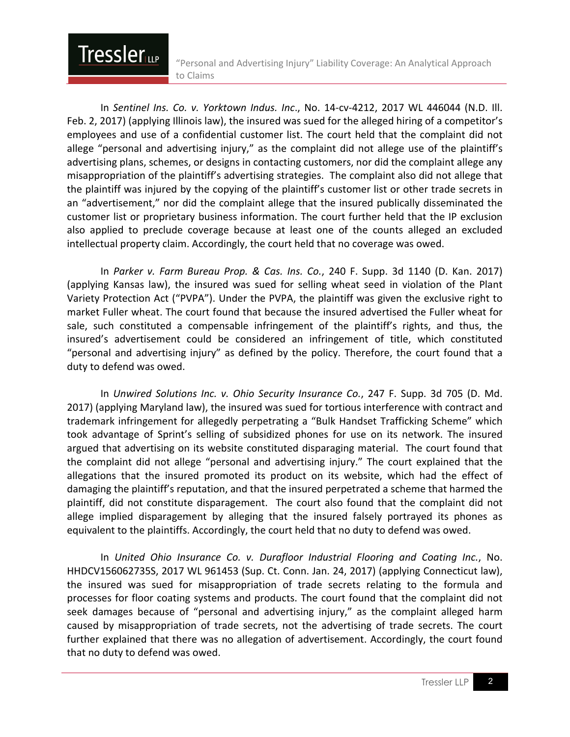In *Sentinel Ins. Co. v. Yorktown Indus. Inc*., No. 14-cv-4212, 2017 WL 446044 (N.D. Ill. Feb. 2, 2017) (applying Illinois law), the insured was sued for the alleged hiring of a competitor's employees and use of a confidential customer list. The court held that the complaint did not allege "personal and advertising injury," as the complaint did not allege use of the plaintiff's advertising plans, schemes, or designs in contacting customers, nor did the complaint allege any misappropriation of the plaintiff's advertising strategies. The complaint also did not allege that the plaintiff was injured by the copying of the plaintiff's customer list or other trade secrets in an "advertisement," nor did the complaint allege that the insured publically disseminated the customer list or proprietary business information. The court further held that the IP exclusion also applied to preclude coverage because at least one of the counts alleged an excluded intellectual property claim. Accordingly, the court held that no coverage was owed.

**Tressler** 

In *Parker v. Farm Bureau Prop. & Cas. Ins. Co.*, 240 F. Supp. 3d 1140 (D. Kan. 2017) (applying Kansas law), the insured was sued for selling wheat seed in violation of the Plant Variety Protection Act ("PVPA"). Under the PVPA, the plaintiff was given the exclusive right to market Fuller wheat. The court found that because the insured advertised the Fuller wheat for sale, such constituted a compensable infringement of the plaintiff's rights, and thus, the insured's advertisement could be considered an infringement of title, which constituted "personal and advertising injury" as defined by the policy. Therefore, the court found that a duty to defend was owed.

In *Unwired Solutions Inc. v. Ohio Security Insurance Co.*, 247 F. Supp. 3d 705 (D. Md. 2017) (applying Maryland law), the insured was sued for tortious interference with contract and trademark infringement for allegedly perpetrating a "Bulk Handset Trafficking Scheme" which took advantage of Sprint's selling of subsidized phones for use on its network. The insured argued that advertising on its website constituted disparaging material. The court found that the complaint did not allege "personal and advertising injury." The court explained that the allegations that the insured promoted its product on its website, which had the effect of damaging the plaintiff's reputation, and that the insured perpetrated a scheme that harmed the plaintiff, did not constitute disparagement. The court also found that the complaint did not allege implied disparagement by alleging that the insured falsely portrayed its phones as equivalent to the plaintiffs. Accordingly, the court held that no duty to defend was owed.

In *United Ohio Insurance Co. v. Durafloor Industrial Flooring and Coating Inc.*, No. HHDCV156062735S, 2017 WL 961453 (Sup. Ct. Conn. Jan. 24, 2017) (applying Connecticut law), the insured was sued for misappropriation of trade secrets relating to the formula and processes for floor coating systems and products. The court found that the complaint did not seek damages because of "personal and advertising injury," as the complaint alleged harm caused by misappropriation of trade secrets, not the advertising of trade secrets. The court further explained that there was no allegation of advertisement. Accordingly, the court found that no duty to defend was owed.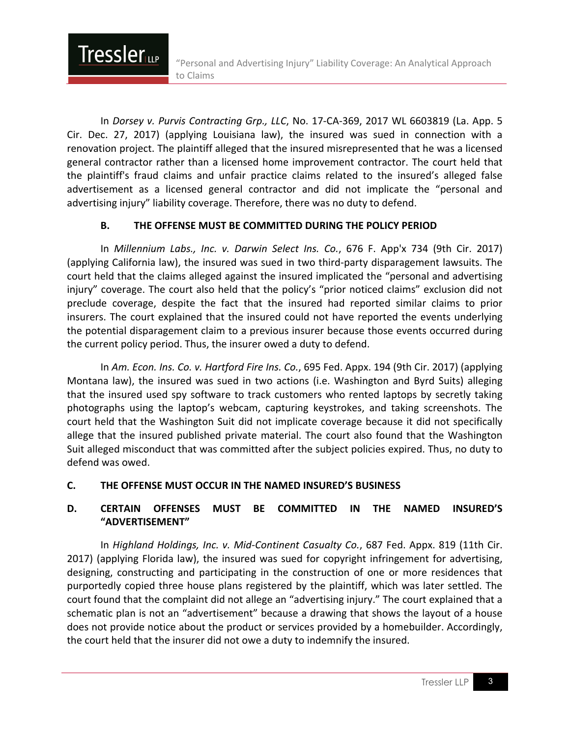In *Dorsey v. Purvis Contracting Grp., LLC*, No. 17-CA-369, 2017 WL 6603819 (La. App. 5 Cir. Dec. 27, 2017) (applying Louisiana law), the insured was sued in connection with a renovation project. The plaintiff alleged that the insured misrepresented that he was a licensed general contractor rather than a licensed home improvement contractor. The court held that the plaintiff's fraud claims and unfair practice claims related to the insured's alleged false advertisement as a licensed general contractor and did not implicate the "personal and advertising injury" liability coverage. Therefore, there was no duty to defend.

#### **B. THE OFFENSE MUST BE COMMITTED DURING THE POLICY PERIOD**

**Tressler** 

In *Millennium Labs., Inc. v. Darwin Select Ins. Co.*, 676 F. App'x 734 (9th Cir. 2017) (applying California law), the insured was sued in two third-party disparagement lawsuits. The court held that the claims alleged against the insured implicated the "personal and advertising injury" coverage. The court also held that the policy's "prior noticed claims" exclusion did not preclude coverage, despite the fact that the insured had reported similar claims to prior insurers. The court explained that the insured could not have reported the events underlying the potential disparagement claim to a previous insurer because those events occurred during the current policy period. Thus, the insurer owed a duty to defend.

In *Am. Econ. Ins. Co. v. Hartford Fire Ins. Co.*, 695 Fed. Appx. 194 (9th Cir. 2017) (applying Montana law), the insured was sued in two actions (i.e. Washington and Byrd Suits) alleging that the insured used spy software to track customers who rented laptops by secretly taking photographs using the laptop's webcam, capturing keystrokes, and taking screenshots. The court held that the Washington Suit did not implicate coverage because it did not specifically allege that the insured published private material. The court also found that the Washington Suit alleged misconduct that was committed after the subject policies expired. Thus, no duty to defend was owed.

#### **C. THE OFFENSE MUST OCCUR IN THE NAMED INSURED'S BUSINESS**

#### **D. CERTAIN OFFENSES MUST BE COMMITTED IN THE NAMED INSURED'S "ADVERTISEMENT"**

In *Highland Holdings, Inc. v. Mid-Continent Casualty Co.*, 687 Fed. Appx. 819 (11th Cir. 2017) (applying Florida law), the insured was sued for copyright infringement for advertising, designing, constructing and participating in the construction of one or more residences that purportedly copied three house plans registered by the plaintiff, which was later settled. The court found that the complaint did not allege an "advertising injury." The court explained that a schematic plan is not an "advertisement" because a drawing that shows the layout of a house does not provide notice about the product or services provided by a homebuilder. Accordingly, the court held that the insurer did not owe a duty to indemnify the insured.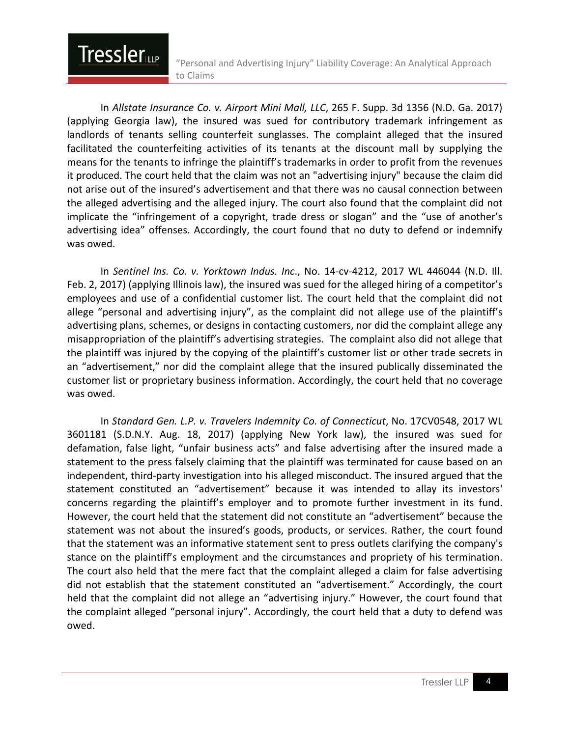In *Allstate Insurance Co. v. Airport Mini Mall, LLC*, 265 F. Supp. 3d 1356 (N.D. Ga. 2017) (applying Georgia law), the insured was sued for contributory trademark infringement as landlords of tenants selling counterfeit sunglasses. The complaint alleged that the insured facilitated the counterfeiting activities of its tenants at the discount mall by supplying the means for the tenants to infringe the plaintiff's trademarks in order to profit from the revenues it produced. The court held that the claim was not an "advertising injury" because the claim did not arise out of the insured's advertisement and that there was no causal connection between the alleged advertising and the alleged injury. The court also found that the complaint did not implicate the "infringement of a copyright, trade dress or slogan" and the "use of another's advertising idea" offenses. Accordingly, the court found that no duty to defend or indemnify was owed.

**Tressler** 

In *Sentinel Ins. Co. v. Yorktown Indus. Inc*., No. 14-cv-4212, 2017 WL 446044 (N.D. Ill. Feb. 2, 2017) (applying Illinois law), the insured was sued for the alleged hiring of a competitor's employees and use of a confidential customer list. The court held that the complaint did not allege "personal and advertising injury", as the complaint did not allege use of the plaintiff's advertising plans, schemes, or designs in contacting customers, nor did the complaint allege any misappropriation of the plaintiff's advertising strategies. The complaint also did not allege that the plaintiff was injured by the copying of the plaintiff's customer list or other trade secrets in an "advertisement," nor did the complaint allege that the insured publically disseminated the customer list or proprietary business information. Accordingly, the court held that no coverage was owed.

In *Standard Gen. L.P. v. Travelers Indemnity Co. of Connecticut*, No. 17CV0548, 2017 WL 3601181 (S.D.N.Y. Aug. 18, 2017) (applying New York law), the insured was sued for defamation, false light, "unfair business acts" and false advertising after the insured made a statement to the press falsely claiming that the plaintiff was terminated for cause based on an independent, third-party investigation into his alleged misconduct. The insured argued that the statement constituted an "advertisement" because it was intended to allay its investors' concerns regarding the plaintiff's employer and to promote further investment in its fund. However, the court held that the statement did not constitute an "advertisement" because the statement was not about the insured's goods, products, or services. Rather, the court found that the statement was an informative statement sent to press outlets clarifying the company's stance on the plaintiff's employment and the circumstances and propriety of his termination. The court also held that the mere fact that the complaint alleged a claim for false advertising did not establish that the statement constituted an "advertisement." Accordingly, the court held that the complaint did not allege an "advertising injury." However, the court found that the complaint alleged "personal injury". Accordingly, the court held that a duty to defend was owed.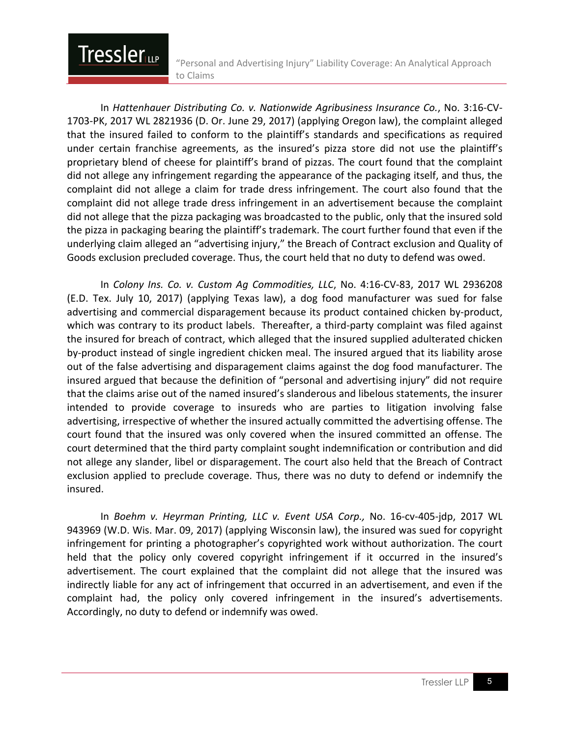In *Hattenhauer Distributing Co. v. Nationwide Agribusiness Insurance Co.*, No. 3:16-CV-1703-PK, 2017 WL 2821936 (D. Or. June 29, 2017) (applying Oregon law), the complaint alleged that the insured failed to conform to the plaintiff's standards and specifications as required under certain franchise agreements, as the insured's pizza store did not use the plaintiff's proprietary blend of cheese for plaintiff's brand of pizzas. The court found that the complaint did not allege any infringement regarding the appearance of the packaging itself, and thus, the complaint did not allege a claim for trade dress infringement. The court also found that the complaint did not allege trade dress infringement in an advertisement because the complaint did not allege that the pizza packaging was broadcasted to the public, only that the insured sold the pizza in packaging bearing the plaintiff's trademark. The court further found that even if the underlying claim alleged an "advertising injury," the Breach of Contract exclusion and Quality of Goods exclusion precluded coverage. Thus, the court held that no duty to defend was owed.

**Tressler** 

In *Colony Ins. Co. v. Custom Ag Commodities, LLC*, No. 4:16-CV-83, 2017 WL 2936208 (E.D. Tex. July 10, 2017) (applying Texas law), a dog food manufacturer was sued for false advertising and commercial disparagement because its product contained chicken by-product, which was contrary to its product labels. Thereafter, a third-party complaint was filed against the insured for breach of contract, which alleged that the insured supplied adulterated chicken by-product instead of single ingredient chicken meal. The insured argued that its liability arose out of the false advertising and disparagement claims against the dog food manufacturer. The insured argued that because the definition of "personal and advertising injury" did not require that the claims arise out of the named insured's slanderous and libelous statements, the insurer intended to provide coverage to insureds who are parties to litigation involving false advertising, irrespective of whether the insured actually committed the advertising offense. The court found that the insured was only covered when the insured committed an offense. The court determined that the third party complaint sought indemnification or contribution and did not allege any slander, libel or disparagement. The court also held that the Breach of Contract exclusion applied to preclude coverage. Thus, there was no duty to defend or indemnify the insured.

In *Boehm v. Heyrman Printing, LLC v. Event USA Corp.,* No. 16-cv-405-jdp, 2017 WL 943969 (W.D. Wis. Mar. 09, 2017) (applying Wisconsin law), the insured was sued for copyright infringement for printing a photographer's copyrighted work without authorization. The court held that the policy only covered copyright infringement if it occurred in the insured's advertisement. The court explained that the complaint did not allege that the insured was indirectly liable for any act of infringement that occurred in an advertisement, and even if the complaint had, the policy only covered infringement in the insured's advertisements. Accordingly, no duty to defend or indemnify was owed.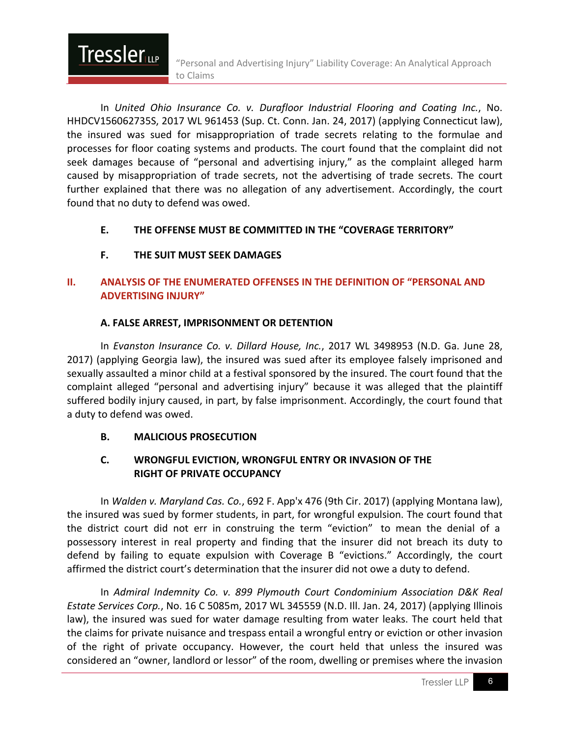In *United Ohio Insurance Co. v. Durafloor Industrial Flooring and Coating Inc.*, No. HHDCV156062735S, 2017 WL 961453 (Sup. Ct. Conn. Jan. 24, 2017) (applying Connecticut law), the insured was sued for misappropriation of trade secrets relating to the formulae and processes for floor coating systems and products. The court found that the complaint did not seek damages because of "personal and advertising injury," as the complaint alleged harm caused by misappropriation of trade secrets, not the advertising of trade secrets. The court further explained that there was no allegation of any advertisement. Accordingly, the court found that no duty to defend was owed.

#### **E. THE OFFENSE MUST BE COMMITTED IN THE "COVERAGE TERRITORY"**

#### **F. THE SUIT MUST SEEK DAMAGES**

**Tressler** 

#### **II. ANALYSIS OF THE ENUMERATED OFFENSES IN THE DEFINITION OF "PERSONAL AND ADVERTISING INJURY"**

#### **A. FALSE ARREST, IMPRISONMENT OR DETENTION**

In *Evanston Insurance Co. v. Dillard House, Inc.*, 2017 WL 3498953 (N.D. Ga. June 28, 2017) (applying Georgia law), the insured was sued after its employee falsely imprisoned and sexually assaulted a minor child at a festival sponsored by the insured. The court found that the complaint alleged "personal and advertising injury" because it was alleged that the plaintiff suffered bodily injury caused, in part, by false imprisonment. Accordingly, the court found that a duty to defend was owed.

#### **B. MALICIOUS PROSECUTION**

#### **C. WRONGFUL EVICTION, WRONGFUL ENTRY OR INVASION OF THE RIGHT OF PRIVATE OCCUPANCY**

In *Walden v. Maryland Cas. Co.*, 692 F. App'x 476 (9th Cir. 2017) (applying Montana law), the insured was sued by former students, in part, for wrongful expulsion. The court found that the district court did not err in construing the term "eviction" to mean the denial of a possessory interest in real property and finding that the insurer did not breach its duty to defend by failing to equate expulsion with Coverage B "evictions." Accordingly, the court affirmed the district court's determination that the insurer did not owe a duty to defend.

In *Admiral Indemnity Co. v. 899 Plymouth Court Condominium Association D&K Real Estate Services Corp.*, No. 16 C 5085m, 2017 WL 345559 (N.D. Ill. Jan. 24, 2017) (applying Illinois law), the insured was sued for water damage resulting from water leaks. The court held that the claims for private nuisance and trespass entail a wrongful entry or eviction or other invasion of the right of private occupancy. However, the court held that unless the insured was considered an "owner, landlord or lessor" of the room, dwelling or premises where the invasion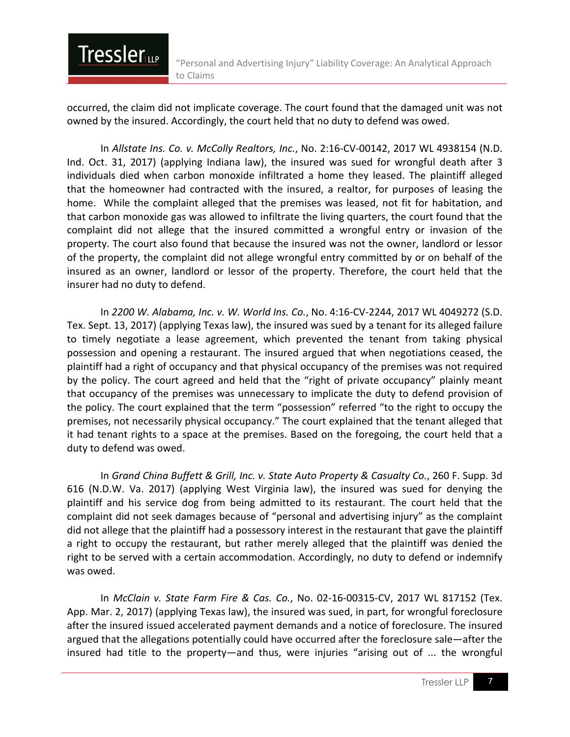occurred, the claim did not implicate coverage. The court found that the damaged unit was not owned by the insured. Accordingly, the court held that no duty to defend was owed.

**Tressler** 

In *Allstate Ins. Co. v. McColly Realtors, Inc.*, No. 2:16-CV-00142, 2017 WL 4938154 (N.D. Ind. Oct. 31, 2017) (applying Indiana law), the insured was sued for wrongful death after 3 individuals died when carbon monoxide infiltrated a home they leased. The plaintiff alleged that the homeowner had contracted with the insured, a realtor, for purposes of leasing the home. While the complaint alleged that the premises was leased, not fit for habitation, and that carbon monoxide gas was allowed to infiltrate the living quarters, the court found that the complaint did not allege that the insured committed a wrongful entry or invasion of the property. The court also found that because the insured was not the owner, landlord or lessor of the property, the complaint did not allege wrongful entry committed by or on behalf of the insured as an owner, landlord or lessor of the property. Therefore, the court held that the insurer had no duty to defend.

In *2200 W. Alabama, Inc. v. W. World Ins. Co.*, No. 4:16-CV-2244, 2017 WL 4049272 (S.D. Tex. Sept. 13, 2017) (applying Texas law), the insured was sued by a tenant for its alleged failure to timely negotiate a lease agreement, which prevented the tenant from taking physical possession and opening a restaurant. The insured argued that when negotiations ceased, the plaintiff had a right of occupancy and that physical occupancy of the premises was not required by the policy. The court agreed and held that the "right of private occupancy" plainly meant that occupancy of the premises was unnecessary to implicate the duty to defend provision of the policy. The court explained that the term "possession" referred "to the right to occupy the premises, not necessarily physical occupancy." The court explained that the tenant alleged that it had tenant rights to a space at the premises. Based on the foregoing, the court held that a duty to defend was owed.

In *Grand China Buffett & Grill, Inc. v. State Auto Property & Casualty Co.*, 260 F. Supp. 3d 616 (N.D.W. Va. 2017) (applying West Virginia law), the insured was sued for denying the plaintiff and his service dog from being admitted to its restaurant. The court held that the complaint did not seek damages because of "personal and advertising injury" as the complaint did not allege that the plaintiff had a possessory interest in the restaurant that gave the plaintiff a right to occupy the restaurant, but rather merely alleged that the plaintiff was denied the right to be served with a certain accommodation. Accordingly, no duty to defend or indemnify was owed.

In *McClain v. State Farm Fire & Cas. Co.*, No. 02-16-00315-CV, 2017 WL 817152 (Tex. App. Mar. 2, 2017) (applying Texas law), the insured was sued, in part, for wrongful foreclosure after the insured issued accelerated payment demands and a notice of foreclosure. The insured argued that the allegations potentially could have occurred after the foreclosure sale—after the insured had title to the property—and thus, were injuries "arising out of ... the wrongful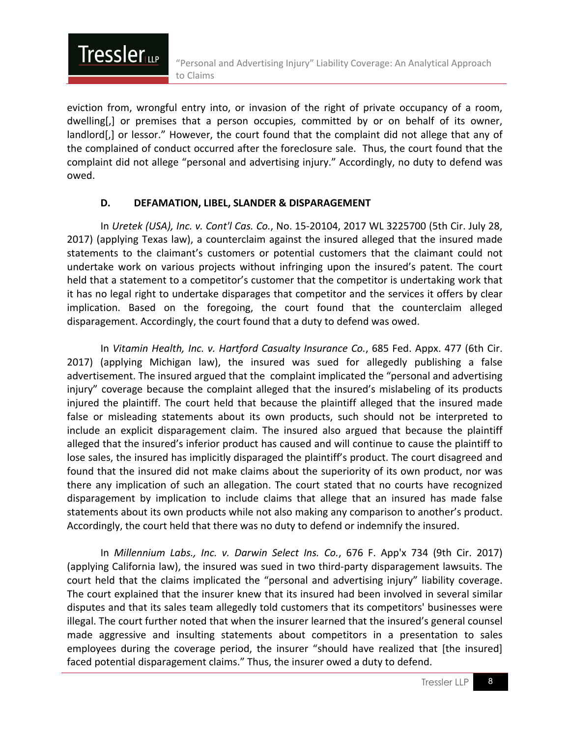eviction from, wrongful entry into, or invasion of the right of private occupancy of a room, dwelling[,] or premises that a person occupies, committed by or on behalf of its owner, landlord[,] or lessor." However, the court found that the complaint did not allege that any of the complained of conduct occurred after the foreclosure sale. Thus, the court found that the complaint did not allege "personal and advertising injury." Accordingly, no duty to defend was owed.

#### **D. DEFAMATION, LIBEL, SLANDER & DISPARAGEMENT**

**Tressler** 

In *Uretek (USA), Inc. v. Cont'l Cas. Co.*, No. 15-20104, 2017 WL 3225700 (5th Cir. July 28, 2017) (applying Texas law), a counterclaim against the insured alleged that the insured made statements to the claimant's customers or potential customers that the claimant could not undertake work on various projects without infringing upon the insured's patent. The court held that a statement to a competitor's customer that the competitor is undertaking work that it has no legal right to undertake disparages that competitor and the services it offers by clear implication. Based on the foregoing, the court found that the counterclaim alleged disparagement. Accordingly, the court found that a duty to defend was owed.

In *Vitamin Health, Inc. v. Hartford Casualty Insurance Co.*, 685 Fed. Appx. 477 (6th Cir. 2017) (applying Michigan law), the insured was sued for allegedly publishing a false advertisement. The insured argued that the complaint implicated the "personal and advertising injury" coverage because the complaint alleged that the insured's mislabeling of its products injured the plaintiff. The court held that because the plaintiff alleged that the insured made false or misleading statements about its own products, such should not be interpreted to include an explicit disparagement claim. The insured also argued that because the plaintiff alleged that the insured's inferior product has caused and will continue to cause the plaintiff to lose sales, the insured has implicitly disparaged the plaintiff's product. The court disagreed and found that the insured did not make claims about the superiority of its own product, nor was there any implication of such an allegation. The court stated that no courts have recognized disparagement by implication to include claims that allege that an insured has made false statements about its own products while not also making any comparison to another's product. Accordingly, the court held that there was no duty to defend or indemnify the insured.

In *Millennium Labs., Inc. v. Darwin Select Ins. Co.*, 676 F. App'x 734 (9th Cir. 2017) (applying California law), the insured was sued in two third-party disparagement lawsuits. The court held that the claims implicated the "personal and advertising injury" liability coverage. The court explained that the insurer knew that its insured had been involved in several similar disputes and that its sales team allegedly told customers that its competitors' businesses were illegal. The court further noted that when the insurer learned that the insured's general counsel made aggressive and insulting statements about competitors in a presentation to sales employees during the coverage period, the insurer "should have realized that [the insured] faced potential disparagement claims." Thus, the insurer owed a duty to defend.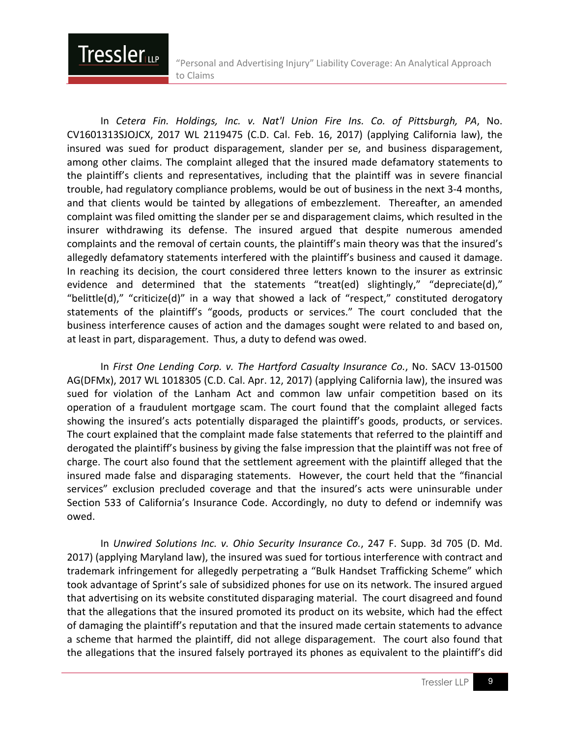In *Cetera Fin. Holdings, Inc. v. Nat'l Union Fire Ins. Co. of Pittsburgh, PA*, No. CV1601313SJOJCX, 2017 WL 2119475 (C.D. Cal. Feb. 16, 2017) (applying California law), the insured was sued for product disparagement, slander per se, and business disparagement, among other claims. The complaint alleged that the insured made defamatory statements to the plaintiff's clients and representatives, including that the plaintiff was in severe financial trouble, had regulatory compliance problems, would be out of business in the next 3-4 months, and that clients would be tainted by allegations of embezzlement. Thereafter, an amended complaint was filed omitting the slander per se and disparagement claims, which resulted in the insurer withdrawing its defense. The insured argued that despite numerous amended complaints and the removal of certain counts, the plaintiff's main theory was that the insured's allegedly defamatory statements interfered with the plaintiff's business and caused it damage. In reaching its decision, the court considered three letters known to the insurer as extrinsic evidence and determined that the statements "treat(ed) slightingly," "depreciate(d)," "belittle(d)," "criticize(d)" in a way that showed a lack of "respect," constituted derogatory statements of the plaintiff's "goods, products or services." The court concluded that the business interference causes of action and the damages sought were related to and based on, at least in part, disparagement. Thus, a duty to defend was owed.

**Tressler** 

In *First One Lending Corp. v. The Hartford Casualty Insurance Co.*, No. SACV 13-01500 AG(DFMx), 2017 WL 1018305 (C.D. Cal. Apr. 12, 2017) (applying California law), the insured was sued for violation of the Lanham Act and common law unfair competition based on its operation of a fraudulent mortgage scam. The court found that the complaint alleged facts showing the insured's acts potentially disparaged the plaintiff's goods, products, or services. The court explained that the complaint made false statements that referred to the plaintiff and derogated the plaintiff's business by giving the false impression that the plaintiff was not free of charge. The court also found that the settlement agreement with the plaintiff alleged that the insured made false and disparaging statements. However, the court held that the "financial services" exclusion precluded coverage and that the insured's acts were uninsurable under Section 533 of California's Insurance Code. Accordingly, no duty to defend or indemnify was owed.

In *Unwired Solutions Inc. v. Ohio Security Insurance Co.*, 247 F. Supp. 3d 705 (D. Md. 2017) (applying Maryland law), the insured was sued for tortious interference with contract and trademark infringement for allegedly perpetrating a "Bulk Handset Trafficking Scheme" which took advantage of Sprint's sale of subsidized phones for use on its network. The insured argued that advertising on its website constituted disparaging material. The court disagreed and found that the allegations that the insured promoted its product on its website, which had the effect of damaging the plaintiff's reputation and that the insured made certain statements to advance a scheme that harmed the plaintiff, did not allege disparagement. The court also found that the allegations that the insured falsely portrayed its phones as equivalent to the plaintiff's did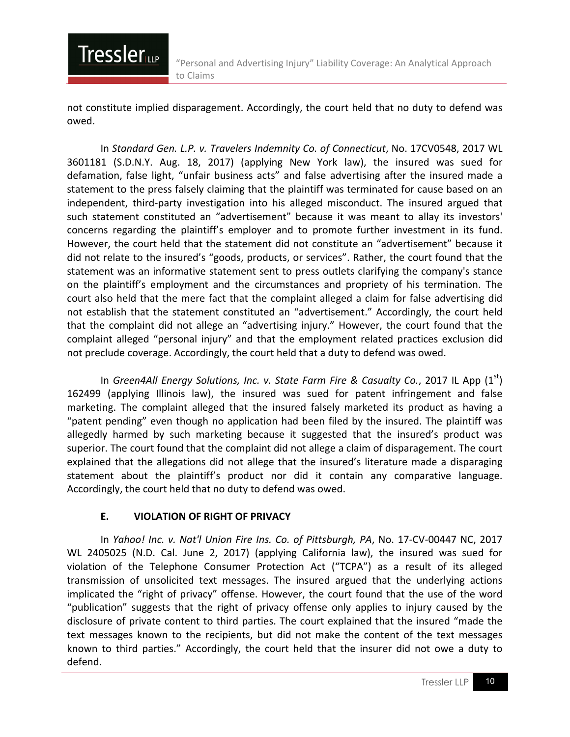not constitute implied disparagement. Accordingly, the court held that no duty to defend was owed.

In *Standard Gen. L.P. v. Travelers Indemnity Co. of Connecticut*, No. 17CV0548, 2017 WL 3601181 (S.D.N.Y. Aug. 18, 2017) (applying New York law), the insured was sued for defamation, false light, "unfair business acts" and false advertising after the insured made a statement to the press falsely claiming that the plaintiff was terminated for cause based on an independent, third-party investigation into his alleged misconduct. The insured argued that such statement constituted an "advertisement" because it was meant to allay its investors' concerns regarding the plaintiff's employer and to promote further investment in its fund. However, the court held that the statement did not constitute an "advertisement" because it did not relate to the insured's "goods, products, or services". Rather, the court found that the statement was an informative statement sent to press outlets clarifying the company's stance on the plaintiff's employment and the circumstances and propriety of his termination. The court also held that the mere fact that the complaint alleged a claim for false advertising did not establish that the statement constituted an "advertisement." Accordingly, the court held that the complaint did not allege an "advertising injury." However, the court found that the complaint alleged "personal injury" and that the employment related practices exclusion did not preclude coverage. Accordingly, the court held that a duty to defend was owed.

In *Green4All Energy Solutions, Inc. v. State Farm Fire & Casualty Co.*, 2017 IL App (1<sup>st</sup>) 162499 (applying Illinois law), the insured was sued for patent infringement and false marketing. The complaint alleged that the insured falsely marketed its product as having a "patent pending" even though no application had been filed by the insured. The plaintiff was allegedly harmed by such marketing because it suggested that the insured's product was superior. The court found that the complaint did not allege a claim of disparagement. The court explained that the allegations did not allege that the insured's literature made a disparaging statement about the plaintiff's product nor did it contain any comparative language. Accordingly, the court held that no duty to defend was owed.

#### **E. VIOLATION OF RIGHT OF PRIVACY**

**Tressler** 

In *Yahoo! Inc. v. Nat'l Union Fire Ins. Co. of Pittsburgh, PA*, No. 17-CV-00447 NC, 2017 WL 2405025 (N.D. Cal. June 2, 2017) (applying California law), the insured was sued for violation of the Telephone Consumer Protection Act ("TCPA") as a result of its alleged transmission of unsolicited text messages. The insured argued that the underlying actions implicated the "right of privacy" offense. However, the court found that the use of the word "publication" suggests that the right of privacy offense only applies to injury caused by the disclosure of private content to third parties. The court explained that the insured "made the text messages known to the recipients, but did not make the content of the text messages known to third parties." Accordingly, the court held that the insurer did not owe a duty to defend.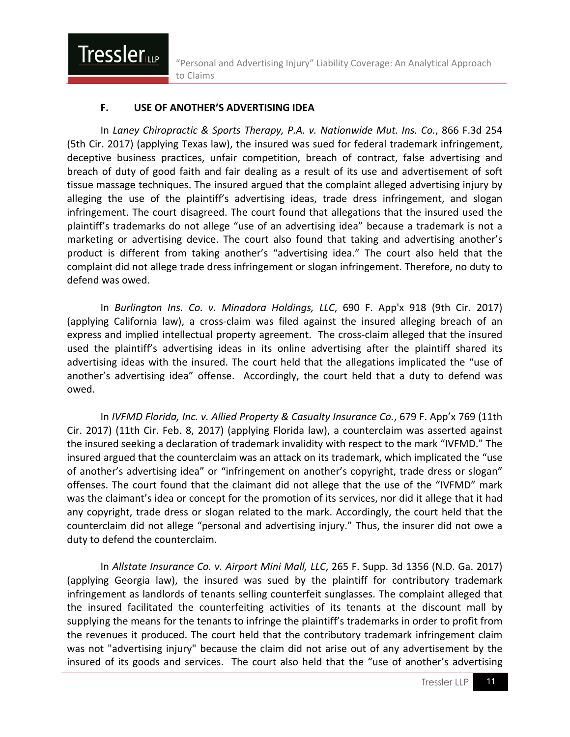#### **F. USE OF ANOTHER'S ADVERTISING IDEA**

**Tressler** 

In *Laney Chiropractic & Sports Therapy, P.A. v. Nationwide Mut. Ins. Co.*, 866 F.3d 254 (5th Cir. 2017) (applying Texas law), the insured was sued for federal trademark infringement, deceptive business practices, unfair competition, breach of contract, false advertising and breach of duty of good faith and fair dealing as a result of its use and advertisement of soft tissue massage techniques. The insured argued that the complaint alleged advertising injury by alleging the use of the plaintiff's advertising ideas, trade dress infringement, and slogan infringement. The court disagreed. The court found that allegations that the insured used the plaintiff's trademarks do not allege "use of an advertising idea" because a trademark is not a marketing or advertising device. The court also found that taking and advertising another's product is different from taking another's "advertising idea." The court also held that the complaint did not allege trade dress infringement or slogan infringement. Therefore, no duty to defend was owed.

In *Burlington Ins. Co. v. Minadora Holdings, LLC*, 690 F. App'x 918 (9th Cir. 2017) (applying California law), a cross-claim was filed against the insured alleging breach of an express and implied intellectual property agreement. The cross-claim alleged that the insured used the plaintiff's advertising ideas in its online advertising after the plaintiff shared its advertising ideas with the insured. The court held that the allegations implicated the "use of another's advertising idea" offense. Accordingly, the court held that a duty to defend was owed.

In *IVFMD Florida, Inc. v. Allied Property & Casualty Insurance Co.*, 679 F. App'x 769 (11th Cir. 2017) (11th Cir. Feb. 8, 2017) (applying Florida law), a counterclaim was asserted against the insured seeking a declaration of trademark invalidity with respect to the mark "IVFMD." The insured argued that the counterclaim was an attack on its trademark, which implicated the "use of another's advertising idea" or "infringement on another's copyright, trade dress or slogan" offenses. The court found that the claimant did not allege that the use of the "IVFMD" mark was the claimant's idea or concept for the promotion of its services, nor did it allege that it had any copyright, trade dress or slogan related to the mark. Accordingly, the court held that the counterclaim did not allege "personal and advertising injury." Thus, the insurer did not owe a duty to defend the counterclaim.

In *Allstate Insurance Co. v. Airport Mini Mall, LLC*, 265 F. Supp. 3d 1356 (N.D. Ga. 2017) (applying Georgia law), the insured was sued by the plaintiff for contributory trademark infringement as landlords of tenants selling counterfeit sunglasses. The complaint alleged that the insured facilitated the counterfeiting activities of its tenants at the discount mall by supplying the means for the tenants to infringe the plaintiff's trademarks in order to profit from the revenues it produced. The court held that the contributory trademark infringement claim was not "advertising injury" because the claim did not arise out of any advertisement by the insured of its goods and services. The court also held that the "use of another's advertising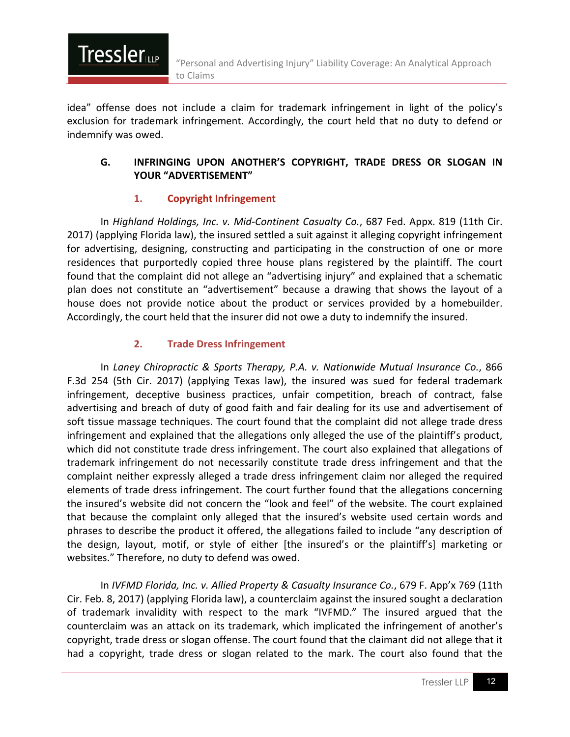

idea" offense does not include a claim for trademark infringement in light of the policy's exclusion for trademark infringement. Accordingly, the court held that no duty to defend or indemnify was owed.

#### **G. INFRINGING UPON ANOTHER'S COPYRIGHT, TRADE DRESS OR SLOGAN IN YOUR "ADVERTISEMENT"**

#### **1. Copyright Infringement**

In *Highland Holdings, Inc. v. Mid-Continent Casualty Co.*, 687 Fed. Appx. 819 (11th Cir. 2017) (applying Florida law), the insured settled a suit against it alleging copyright infringement for advertising, designing, constructing and participating in the construction of one or more residences that purportedly copied three house plans registered by the plaintiff. The court found that the complaint did not allege an "advertising injury" and explained that a schematic plan does not constitute an "advertisement" because a drawing that shows the layout of a house does not provide notice about the product or services provided by a homebuilder. Accordingly, the court held that the insurer did not owe a duty to indemnify the insured.

#### **2. Trade Dress Infringement**

In *Laney Chiropractic & Sports Therapy, P.A. v. Nationwide Mutual Insurance Co.*, 866 F.3d 254 (5th Cir. 2017) (applying Texas law), the insured was sued for federal trademark infringement, deceptive business practices, unfair competition, breach of contract, false advertising and breach of duty of good faith and fair dealing for its use and advertisement of soft tissue massage techniques. The court found that the complaint did not allege trade dress infringement and explained that the allegations only alleged the use of the plaintiff's product, which did not constitute trade dress infringement. The court also explained that allegations of trademark infringement do not necessarily constitute trade dress infringement and that the complaint neither expressly alleged a trade dress infringement claim nor alleged the required elements of trade dress infringement. The court further found that the allegations concerning the insured's website did not concern the "look and feel" of the website. The court explained that because the complaint only alleged that the insured's website used certain words and phrases to describe the product it offered, the allegations failed to include "any description of the design, layout, motif, or style of either [the insured's or the plaintiff's] marketing or websites." Therefore, no duty to defend was owed.

In *IVFMD Florida, Inc. v. Allied Property & Casualty Insurance Co.*, 679 F. App'x 769 (11th Cir. Feb. 8, 2017) (applying Florida law), a counterclaim against the insured sought a declaration of trademark invalidity with respect to the mark "IVFMD." The insured argued that the counterclaim was an attack on its trademark, which implicated the infringement of another's copyright, trade dress or slogan offense. The court found that the claimant did not allege that it had a copyright, trade dress or slogan related to the mark. The court also found that the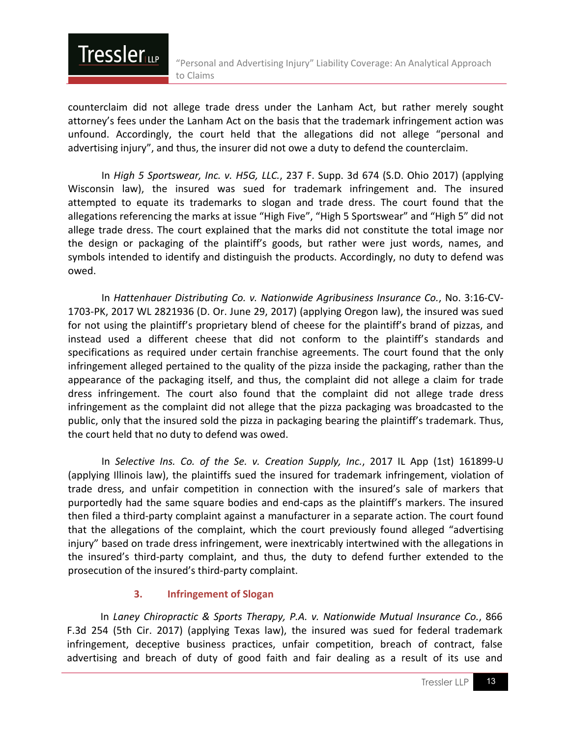counterclaim did not allege trade dress under the Lanham Act, but rather merely sought attorney's fees under the Lanham Act on the basis that the trademark infringement action was unfound. Accordingly, the court held that the allegations did not allege "personal and advertising injury", and thus, the insurer did not owe a duty to defend the counterclaim.

**Tressler** 

In *High 5 Sportswear, Inc. v. H5G, LLC.*, 237 F. Supp. 3d 674 (S.D. Ohio 2017) (applying Wisconsin law), the insured was sued for trademark infringement and. The insured attempted to equate its trademarks to slogan and trade dress. The court found that the allegations referencing the marks at issue "High Five", "High 5 Sportswear" and "High 5" did not allege trade dress. The court explained that the marks did not constitute the total image nor the design or packaging of the plaintiff's goods, but rather were just words, names, and symbols intended to identify and distinguish the products. Accordingly, no duty to defend was owed.

In *Hattenhauer Distributing Co. v. Nationwide Agribusiness Insurance Co.*, No. 3:16-CV-1703-PK, 2017 WL 2821936 (D. Or. June 29, 2017) (applying Oregon law), the insured was sued for not using the plaintiff's proprietary blend of cheese for the plaintiff's brand of pizzas, and instead used a different cheese that did not conform to the plaintiff's standards and specifications as required under certain franchise agreements. The court found that the only infringement alleged pertained to the quality of the pizza inside the packaging, rather than the appearance of the packaging itself, and thus, the complaint did not allege a claim for trade dress infringement. The court also found that the complaint did not allege trade dress infringement as the complaint did not allege that the pizza packaging was broadcasted to the public, only that the insured sold the pizza in packaging bearing the plaintiff's trademark. Thus, the court held that no duty to defend was owed.

In *Selective Ins. Co. of the Se. v. Creation Supply, Inc.*, 2017 IL App (1st) 161899-U (applying Illinois law), the plaintiffs sued the insured for trademark infringement, violation of trade dress, and unfair competition in connection with the insured's sale of markers that purportedly had the same square bodies and end-caps as the plaintiff's markers. The insured then filed a third-party complaint against a manufacturer in a separate action. The court found that the allegations of the complaint, which the court previously found alleged "advertising injury" based on trade dress infringement, were inextricably intertwined with the allegations in the insured's third-party complaint, and thus, the duty to defend further extended to the prosecution of the insured's third-party complaint.

#### **3. Infringement of Slogan**

In *Laney Chiropractic & Sports Therapy, P.A. v. Nationwide Mutual Insurance Co.*, 866 F.3d 254 (5th Cir. 2017) (applying Texas law), the insured was sued for federal trademark infringement, deceptive business practices, unfair competition, breach of contract, false advertising and breach of duty of good faith and fair dealing as a result of its use and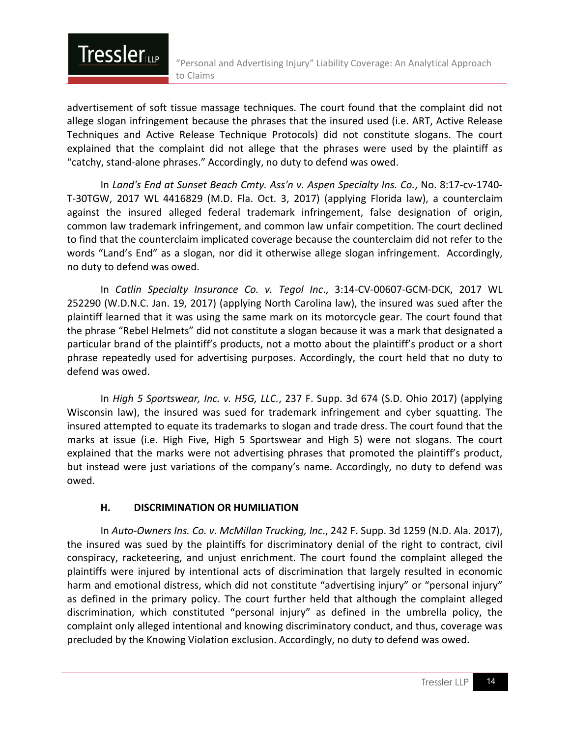advertisement of soft tissue massage techniques. The court found that the complaint did not allege slogan infringement because the phrases that the insured used (i.e. ART, Active Release Techniques and Active Release Technique Protocols) did not constitute slogans. The court explained that the complaint did not allege that the phrases were used by the plaintiff as "catchy, stand-alone phrases." Accordingly, no duty to defend was owed.

In *Land's End at Sunset Beach Cmty. Ass'n v. Aspen Specialty Ins. Co.*, No. 8:17-cv-1740- T-30TGW, 2017 WL 4416829 (M.D. Fla. Oct. 3, 2017) (applying Florida law), a counterclaim against the insured alleged federal trademark infringement, false designation of origin, common law trademark infringement, and common law unfair competition. The court declined to find that the counterclaim implicated coverage because the counterclaim did not refer to the words "Land's End" as a slogan, nor did it otherwise allege slogan infringement. Accordingly, no duty to defend was owed.

In *Catlin Specialty Insurance Co. v. Tegol Inc*., 3:14-CV-00607-GCM-DCK, 2017 WL 252290 (W.D.N.C. Jan. 19, 2017) (applying North Carolina law), the insured was sued after the plaintiff learned that it was using the same mark on its motorcycle gear. The court found that the phrase "Rebel Helmets" did not constitute a slogan because it was a mark that designated a particular brand of the plaintiff's products, not a motto about the plaintiff's product or a short phrase repeatedly used for advertising purposes. Accordingly, the court held that no duty to defend was owed.

In *High 5 Sportswear, Inc. v. H5G, LLC.*, 237 F. Supp. 3d 674 (S.D. Ohio 2017) (applying Wisconsin law), the insured was sued for trademark infringement and cyber squatting. The insured attempted to equate its trademarks to slogan and trade dress. The court found that the marks at issue (i.e. High Five, High 5 Sportswear and High 5) were not slogans. The court explained that the marks were not advertising phrases that promoted the plaintiff's product, but instead were just variations of the company's name. Accordingly, no duty to defend was owed.

#### **H. DISCRIMINATION OR HUMILIATION**

**Tressler** 

In *Auto-Owners Ins. Co. v. McMillan Trucking, Inc*., 242 F. Supp. 3d 1259 (N.D. Ala. 2017), the insured was sued by the plaintiffs for discriminatory denial of the right to contract, civil conspiracy, racketeering, and unjust enrichment. The court found the complaint alleged the plaintiffs were injured by intentional acts of discrimination that largely resulted in economic harm and emotional distress, which did not constitute "advertising injury" or "personal injury" as defined in the primary policy. The court further held that although the complaint alleged discrimination, which constituted "personal injury" as defined in the umbrella policy, the complaint only alleged intentional and knowing discriminatory conduct, and thus, coverage was precluded by the Knowing Violation exclusion. Accordingly, no duty to defend was owed.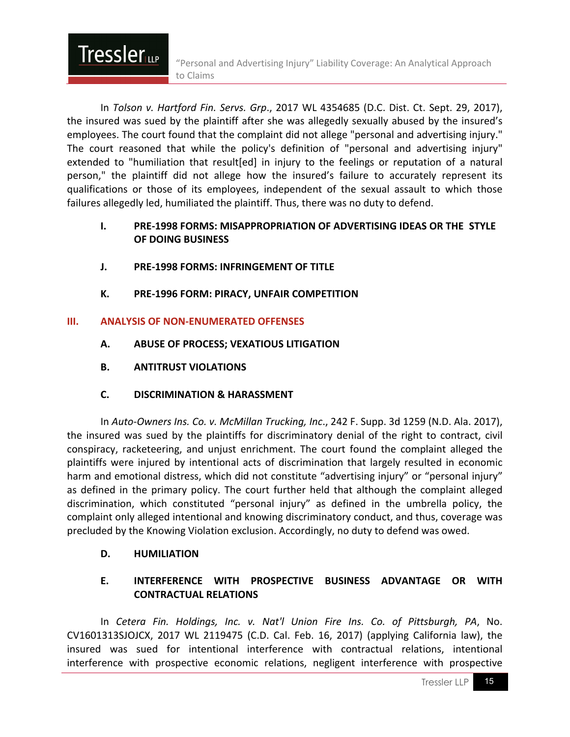In *Tolson v. Hartford Fin. Servs. Grp*., 2017 WL 4354685 (D.C. Dist. Ct. Sept. 29, 2017), the insured was sued by the plaintiff after she was allegedly sexually abused by the insured's employees. The court found that the complaint did not allege "personal and advertising injury." The court reasoned that while the policy's definition of "personal and advertising injury" extended to "humiliation that result[ed] in injury to the feelings or reputation of a natural person," the plaintiff did not allege how the insured's failure to accurately represent its qualifications or those of its employees, independent of the sexual assault to which those failures allegedly led, humiliated the plaintiff. Thus, there was no duty to defend.

#### **I. PRE-1998 FORMS: MISAPPROPRIATION OF ADVERTISING IDEAS OR THE STYLE OF DOING BUSINESS**

- **J. PRE-1998 FORMS: INFRINGEMENT OF TITLE**
- **K. PRE-1996 FORM: PIRACY, UNFAIR COMPETITION**

#### **III. ANALYSIS OF NON-ENUMERATED OFFENSES**

- **A. ABUSE OF PROCESS; VEXATIOUS LITIGATION**
- **B. ANTITRUST VIOLATIONS**

**Tressler** 

**C. DISCRIMINATION & HARASSMENT**

In *Auto-Owners Ins. Co. v. McMillan Trucking, Inc*., 242 F. Supp. 3d 1259 (N.D. Ala. 2017), the insured was sued by the plaintiffs for discriminatory denial of the right to contract, civil conspiracy, racketeering, and unjust enrichment. The court found the complaint alleged the plaintiffs were injured by intentional acts of discrimination that largely resulted in economic harm and emotional distress, which did not constitute "advertising injury" or "personal injury" as defined in the primary policy. The court further held that although the complaint alleged discrimination, which constituted "personal injury" as defined in the umbrella policy, the complaint only alleged intentional and knowing discriminatory conduct, and thus, coverage was precluded by the Knowing Violation exclusion. Accordingly, no duty to defend was owed.

#### **D. HUMILIATION**

#### **E. INTERFERENCE WITH PROSPECTIVE BUSINESS ADVANTAGE OR WITH CONTRACTUAL RELATIONS**

In *Cetera Fin. Holdings, Inc. v. Nat'l Union Fire Ins. Co. of Pittsburgh, PA*, No. CV1601313SJOJCX, 2017 WL 2119475 (C.D. Cal. Feb. 16, 2017) (applying California law), the insured was sued for intentional interference with contractual relations, intentional interference with prospective economic relations, negligent interference with prospective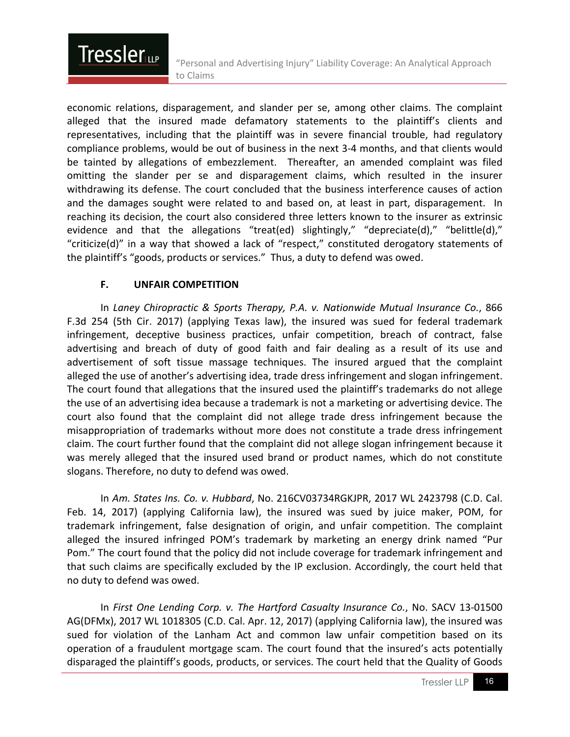economic relations, disparagement, and slander per se, among other claims. The complaint alleged that the insured made defamatory statements to the plaintiff's clients and representatives, including that the plaintiff was in severe financial trouble, had regulatory compliance problems, would be out of business in the next 3-4 months, and that clients would be tainted by allegations of embezzlement. Thereafter, an amended complaint was filed omitting the slander per se and disparagement claims, which resulted in the insurer withdrawing its defense. The court concluded that the business interference causes of action and the damages sought were related to and based on, at least in part, disparagement. In reaching its decision, the court also considered three letters known to the insurer as extrinsic evidence and that the allegations "treat(ed) slightingly," "depreciate(d)," "belittle(d)," "criticize(d)" in a way that showed a lack of "respect," constituted derogatory statements of the plaintiff's "goods, products or services." Thus, a duty to defend was owed.

#### **F. UNFAIR COMPETITION**

**Tressler** 

In *Laney Chiropractic & Sports Therapy, P.A. v. Nationwide Mutual Insurance Co.*, 866 F.3d 254 (5th Cir. 2017) (applying Texas law), the insured was sued for federal trademark infringement, deceptive business practices, unfair competition, breach of contract, false advertising and breach of duty of good faith and fair dealing as a result of its use and advertisement of soft tissue massage techniques. The insured argued that the complaint alleged the use of another's advertising idea, trade dress infringement and slogan infringement. The court found that allegations that the insured used the plaintiff's trademarks do not allege the use of an advertising idea because a trademark is not a marketing or advertising device. The court also found that the complaint did not allege trade dress infringement because the misappropriation of trademarks without more does not constitute a trade dress infringement claim. The court further found that the complaint did not allege slogan infringement because it was merely alleged that the insured used brand or product names, which do not constitute slogans. Therefore, no duty to defend was owed.

In *Am. States Ins. Co. v. Hubbard*, No. 216CV03734RGKJPR, 2017 WL 2423798 (C.D. Cal. Feb. 14, 2017) (applying California law), the insured was sued by juice maker, POM, for trademark infringement, false designation of origin, and unfair competition. The complaint alleged the insured infringed POM's trademark by marketing an energy drink named "Pur Pom." The court found that the policy did not include coverage for trademark infringement and that such claims are specifically excluded by the IP exclusion. Accordingly, the court held that no duty to defend was owed.

In *First One Lending Corp. v. The Hartford Casualty Insurance Co.*, No. SACV 13-01500 AG(DFMx), 2017 WL 1018305 (C.D. Cal. Apr. 12, 2017) (applying California law), the insured was sued for violation of the Lanham Act and common law unfair competition based on its operation of a fraudulent mortgage scam. The court found that the insured's acts potentially disparaged the plaintiff's goods, products, or services. The court held that the Quality of Goods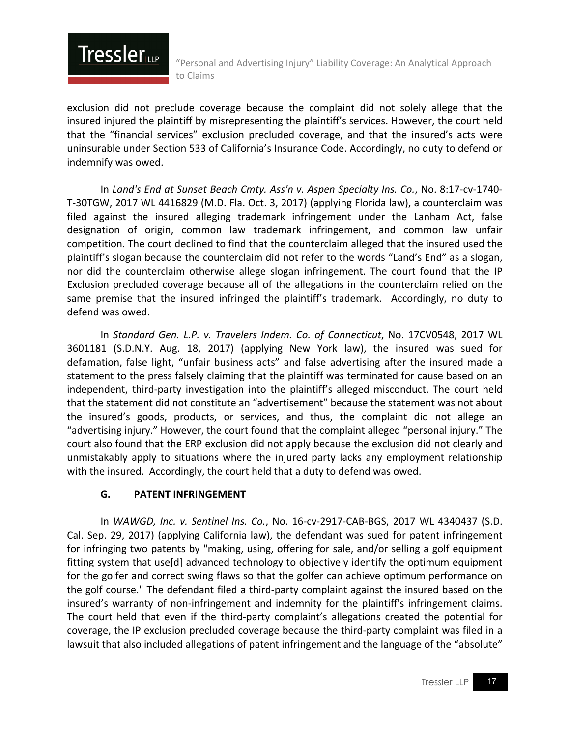

exclusion did not preclude coverage because the complaint did not solely allege that the insured injured the plaintiff by misrepresenting the plaintiff's services. However, the court held that the "financial services" exclusion precluded coverage, and that the insured's acts were uninsurable under Section 533 of California's Insurance Code. Accordingly, no duty to defend or indemnify was owed.

In *Land's End at Sunset Beach Cmty. Ass'n v. Aspen Specialty Ins. Co.*, No. 8:17-cv-1740- T-30TGW, 2017 WL 4416829 (M.D. Fla. Oct. 3, 2017) (applying Florida law), a counterclaim was filed against the insured alleging trademark infringement under the Lanham Act, false designation of origin, common law trademark infringement, and common law unfair competition. The court declined to find that the counterclaim alleged that the insured used the plaintiff's slogan because the counterclaim did not refer to the words "Land's End" as a slogan, nor did the counterclaim otherwise allege slogan infringement. The court found that the IP Exclusion precluded coverage because all of the allegations in the counterclaim relied on the same premise that the insured infringed the plaintiff's trademark. Accordingly, no duty to defend was owed.

In *Standard Gen. L.P. v. Travelers Indem. Co. of Connecticut*, No. 17CV0548, 2017 WL 3601181 (S.D.N.Y. Aug. 18, 2017) (applying New York law), the insured was sued for defamation, false light, "unfair business acts" and false advertising after the insured made a statement to the press falsely claiming that the plaintiff was terminated for cause based on an independent, third-party investigation into the plaintiff's alleged misconduct. The court held that the statement did not constitute an "advertisement" because the statement was not about the insured's goods, products, or services, and thus, the complaint did not allege an "advertising injury." However, the court found that the complaint alleged "personal injury." The court also found that the ERP exclusion did not apply because the exclusion did not clearly and unmistakably apply to situations where the injured party lacks any employment relationship with the insured. Accordingly, the court held that a duty to defend was owed.

#### **G. PATENT INFRINGEMENT**

In *WAWGD, Inc. v. Sentinel Ins. Co.*, No. 16-cv-2917-CAB-BGS, 2017 WL 4340437 (S.D. Cal. Sep. 29, 2017) (applying California law), the defendant was sued for patent infringement for infringing two patents by "making, using, offering for sale, and/or selling a golf equipment fitting system that use[d] advanced technology to objectively identify the optimum equipment for the golfer and correct swing flaws so that the golfer can achieve optimum performance on the golf course." The defendant filed a third-party complaint against the insured based on the insured's warranty of non-infringement and indemnity for the plaintiff's infringement claims. The court held that even if the third-party complaint's allegations created the potential for coverage, the IP exclusion precluded coverage because the third-party complaint was filed in a lawsuit that also included allegations of patent infringement and the language of the "absolute"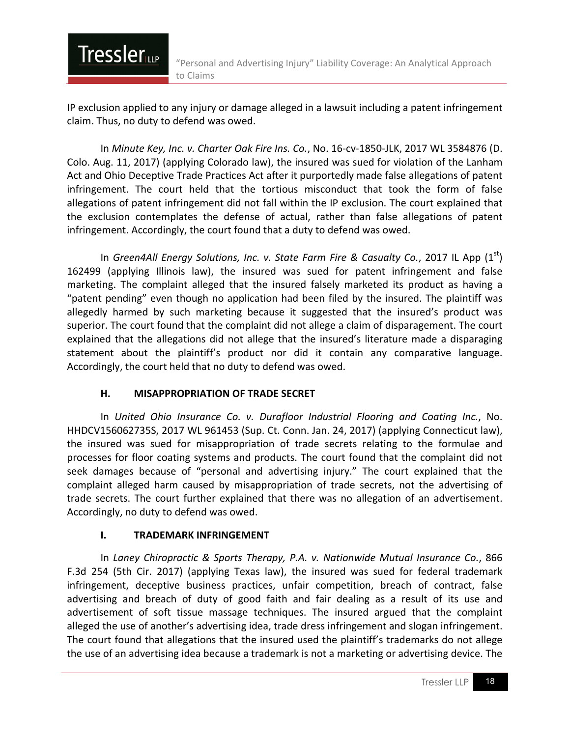IP exclusion applied to any injury or damage alleged in a lawsuit including a patent infringement claim. Thus, no duty to defend was owed.

In *Minute Key, Inc. v. Charter Oak Fire Ins. Co.*, No. 16-cv-1850-JLK, 2017 WL 3584876 (D. Colo. Aug. 11, 2017) (applying Colorado law), the insured was sued for violation of the Lanham Act and Ohio Deceptive Trade Practices Act after it purportedly made false allegations of patent infringement. The court held that the tortious misconduct that took the form of false allegations of patent infringement did not fall within the IP exclusion. The court explained that the exclusion contemplates the defense of actual, rather than false allegations of patent infringement. Accordingly, the court found that a duty to defend was owed.

In *Green4All Energy Solutions, Inc. v. State Farm Fire & Casualty Co.*, 2017 IL App  $(1^{st})$ 162499 (applying Illinois law), the insured was sued for patent infringement and false marketing. The complaint alleged that the insured falsely marketed its product as having a "patent pending" even though no application had been filed by the insured. The plaintiff was allegedly harmed by such marketing because it suggested that the insured's product was superior. The court found that the complaint did not allege a claim of disparagement. The court explained that the allegations did not allege that the insured's literature made a disparaging statement about the plaintiff's product nor did it contain any comparative language. Accordingly, the court held that no duty to defend was owed.

#### **H. MISAPPROPRIATION OF TRADE SECRET**

**Tressler** 

In *United Ohio Insurance Co. v. Durafloor Industrial Flooring and Coating Inc.*, No. HHDCV156062735S, 2017 WL 961453 (Sup. Ct. Conn. Jan. 24, 2017) (applying Connecticut law), the insured was sued for misappropriation of trade secrets relating to the formulae and processes for floor coating systems and products. The court found that the complaint did not seek damages because of "personal and advertising injury." The court explained that the complaint alleged harm caused by misappropriation of trade secrets, not the advertising of trade secrets. The court further explained that there was no allegation of an advertisement. Accordingly, no duty to defend was owed.

#### **I. TRADEMARK INFRINGEMENT**

In *Laney Chiropractic & Sports Therapy, P.A. v. Nationwide Mutual Insurance Co.*, 866 F.3d 254 (5th Cir. 2017) (applying Texas law), the insured was sued for federal trademark infringement, deceptive business practices, unfair competition, breach of contract, false advertising and breach of duty of good faith and fair dealing as a result of its use and advertisement of soft tissue massage techniques. The insured argued that the complaint alleged the use of another's advertising idea, trade dress infringement and slogan infringement. The court found that allegations that the insured used the plaintiff's trademarks do not allege the use of an advertising idea because a trademark is not a marketing or advertising device. The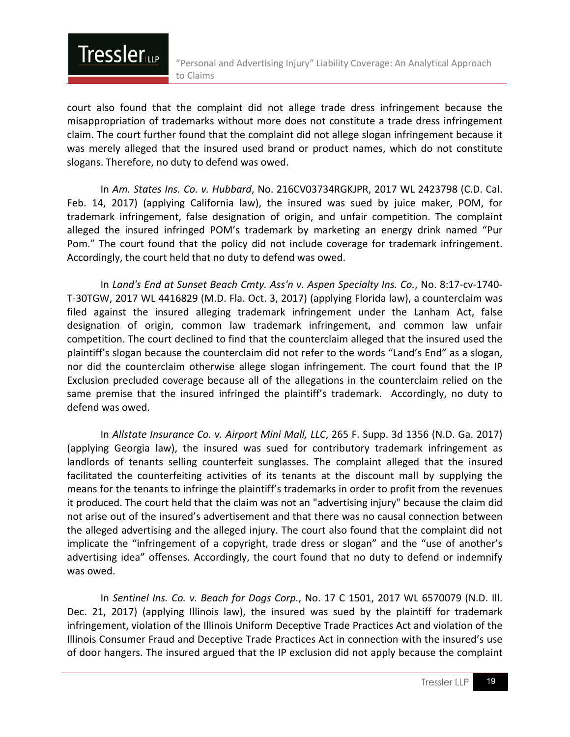court also found that the complaint did not allege trade dress infringement because the misappropriation of trademarks without more does not constitute a trade dress infringement claim. The court further found that the complaint did not allege slogan infringement because it was merely alleged that the insured used brand or product names, which do not constitute slogans. Therefore, no duty to defend was owed.

**Tressler** 

In *Am. States Ins. Co. v. Hubbard*, No. 216CV03734RGKJPR, 2017 WL 2423798 (C.D. Cal. Feb. 14, 2017) (applying California law), the insured was sued by juice maker, POM, for trademark infringement, false designation of origin, and unfair competition. The complaint alleged the insured infringed POM's trademark by marketing an energy drink named "Pur Pom." The court found that the policy did not include coverage for trademark infringement. Accordingly, the court held that no duty to defend was owed.

In *Land's End at Sunset Beach Cmty. Ass'n v. Aspen Specialty Ins. Co.*, No. 8:17-cv-1740- T-30TGW, 2017 WL 4416829 (M.D. Fla. Oct. 3, 2017) (applying Florida law), a counterclaim was filed against the insured alleging trademark infringement under the Lanham Act, false designation of origin, common law trademark infringement, and common law unfair competition. The court declined to find that the counterclaim alleged that the insured used the plaintiff's slogan because the counterclaim did not refer to the words "Land's End" as a slogan, nor did the counterclaim otherwise allege slogan infringement. The court found that the IP Exclusion precluded coverage because all of the allegations in the counterclaim relied on the same premise that the insured infringed the plaintiff's trademark. Accordingly, no duty to defend was owed.

In *Allstate Insurance Co. v. Airport Mini Mall, LLC*, 265 F. Supp. 3d 1356 (N.D. Ga. 2017) (applying Georgia law), the insured was sued for contributory trademark infringement as landlords of tenants selling counterfeit sunglasses. The complaint alleged that the insured facilitated the counterfeiting activities of its tenants at the discount mall by supplying the means for the tenants to infringe the plaintiff's trademarks in order to profit from the revenues it produced. The court held that the claim was not an "advertising injury" because the claim did not arise out of the insured's advertisement and that there was no causal connection between the alleged advertising and the alleged injury. The court also found that the complaint did not implicate the "infringement of a copyright, trade dress or slogan" and the "use of another's advertising idea" offenses. Accordingly, the court found that no duty to defend or indemnify was owed.

In *Sentinel Ins. Co. v. Beach for Dogs Corp.*, No. 17 C 1501, 2017 WL 6570079 (N.D. Ill. Dec. 21, 2017) (applying Illinois law), the insured was sued by the plaintiff for trademark infringement, violation of the Illinois Uniform Deceptive Trade Practices Act and violation of the Illinois Consumer Fraud and Deceptive Trade Practices Act in connection with the insured's use of door hangers. The insured argued that the IP exclusion did not apply because the complaint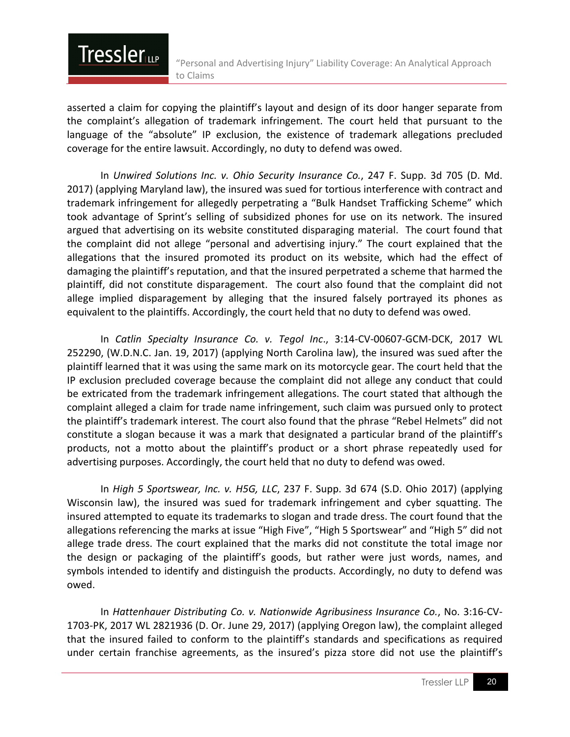asserted a claim for copying the plaintiff's layout and design of its door hanger separate from the complaint's allegation of trademark infringement. The court held that pursuant to the language of the "absolute" IP exclusion, the existence of trademark allegations precluded coverage for the entire lawsuit. Accordingly, no duty to defend was owed.

**Tressler** 

In *Unwired Solutions Inc. v. Ohio Security Insurance Co.*, 247 F. Supp. 3d 705 (D. Md. 2017) (applying Maryland law), the insured was sued for tortious interference with contract and trademark infringement for allegedly perpetrating a "Bulk Handset Trafficking Scheme" which took advantage of Sprint's selling of subsidized phones for use on its network. The insured argued that advertising on its website constituted disparaging material. The court found that the complaint did not allege "personal and advertising injury." The court explained that the allegations that the insured promoted its product on its website, which had the effect of damaging the plaintiff's reputation, and that the insured perpetrated a scheme that harmed the plaintiff, did not constitute disparagement. The court also found that the complaint did not allege implied disparagement by alleging that the insured falsely portrayed its phones as equivalent to the plaintiffs. Accordingly, the court held that no duty to defend was owed.

In *Catlin Specialty Insurance Co. v. Tegol Inc*., 3:14-CV-00607-GCM-DCK, 2017 WL 252290, (W.D.N.C. Jan. 19, 2017) (applying North Carolina law), the insured was sued after the plaintiff learned that it was using the same mark on its motorcycle gear. The court held that the IP exclusion precluded coverage because the complaint did not allege any conduct that could be extricated from the trademark infringement allegations. The court stated that although the complaint alleged a claim for trade name infringement, such claim was pursued only to protect the plaintiff's trademark interest. The court also found that the phrase "Rebel Helmets" did not constitute a slogan because it was a mark that designated a particular brand of the plaintiff's products, not a motto about the plaintiff's product or a short phrase repeatedly used for advertising purposes. Accordingly, the court held that no duty to defend was owed.

In *High 5 Sportswear, Inc. v. H5G, LLC*, 237 F. Supp. 3d 674 (S.D. Ohio 2017) (applying Wisconsin law), the insured was sued for trademark infringement and cyber squatting. The insured attempted to equate its trademarks to slogan and trade dress. The court found that the allegations referencing the marks at issue "High Five", "High 5 Sportswear" and "High 5" did not allege trade dress. The court explained that the marks did not constitute the total image nor the design or packaging of the plaintiff's goods, but rather were just words, names, and symbols intended to identify and distinguish the products. Accordingly, no duty to defend was owed.

In *Hattenhauer Distributing Co. v. Nationwide Agribusiness Insurance Co.*, No. 3:16-CV-1703-PK, 2017 WL 2821936 (D. Or. June 29, 2017) (applying Oregon law), the complaint alleged that the insured failed to conform to the plaintiff's standards and specifications as required under certain franchise agreements, as the insured's pizza store did not use the plaintiff's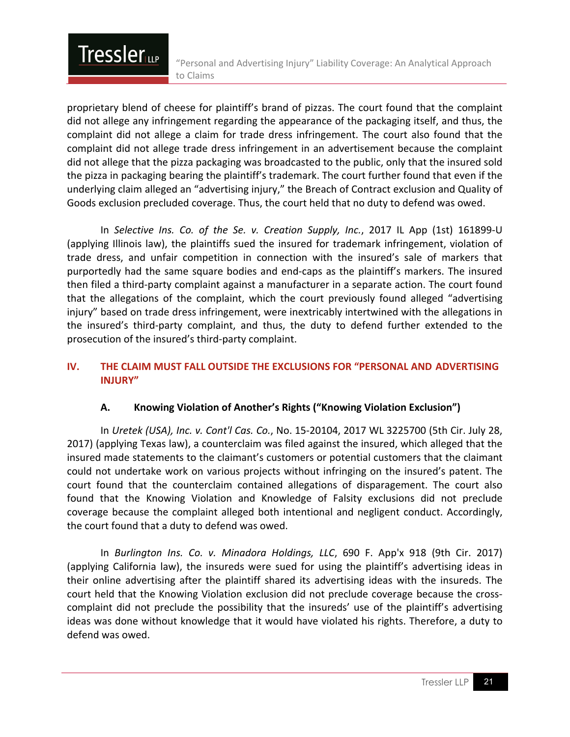proprietary blend of cheese for plaintiff's brand of pizzas. The court found that the complaint did not allege any infringement regarding the appearance of the packaging itself, and thus, the complaint did not allege a claim for trade dress infringement. The court also found that the complaint did not allege trade dress infringement in an advertisement because the complaint did not allege that the pizza packaging was broadcasted to the public, only that the insured sold the pizza in packaging bearing the plaintiff's trademark. The court further found that even if the underlying claim alleged an "advertising injury," the Breach of Contract exclusion and Quality of Goods exclusion precluded coverage. Thus, the court held that no duty to defend was owed.

**Tressler** 

In *Selective Ins. Co. of the Se. v. Creation Supply, Inc.*, 2017 IL App (1st) 161899-U (applying Illinois law), the plaintiffs sued the insured for trademark infringement, violation of trade dress, and unfair competition in connection with the insured's sale of markers that purportedly had the same square bodies and end-caps as the plaintiff's markers. The insured then filed a third-party complaint against a manufacturer in a separate action. The court found that the allegations of the complaint, which the court previously found alleged "advertising injury" based on trade dress infringement, were inextricably intertwined with the allegations in the insured's third-party complaint, and thus, the duty to defend further extended to the prosecution of the insured's third-party complaint.

#### **IV. THE CLAIM MUST FALL OUTSIDE THE EXCLUSIONS FOR "PERSONAL AND ADVERTISING INJURY"**

#### **A. Knowing Violation of Another's Rights ("Knowing Violation Exclusion")**

In *Uretek (USA), Inc. v. Cont'l Cas. Co.*, No. 15-20104, 2017 WL 3225700 (5th Cir. July 28, 2017) (applying Texas law), a counterclaim was filed against the insured, which alleged that the insured made statements to the claimant's customers or potential customers that the claimant could not undertake work on various projects without infringing on the insured's patent. The court found that the counterclaim contained allegations of disparagement. The court also found that the Knowing Violation and Knowledge of Falsity exclusions did not preclude coverage because the complaint alleged both intentional and negligent conduct. Accordingly, the court found that a duty to defend was owed.

In *Burlington Ins. Co. v. Minadora Holdings, LLC*, 690 F. App'x 918 (9th Cir. 2017) (applying California law), the insureds were sued for using the plaintiff's advertising ideas in their online advertising after the plaintiff shared its advertising ideas with the insureds. The court held that the Knowing Violation exclusion did not preclude coverage because the crosscomplaint did not preclude the possibility that the insureds' use of the plaintiff's advertising ideas was done without knowledge that it would have violated his rights. Therefore, a duty to defend was owed.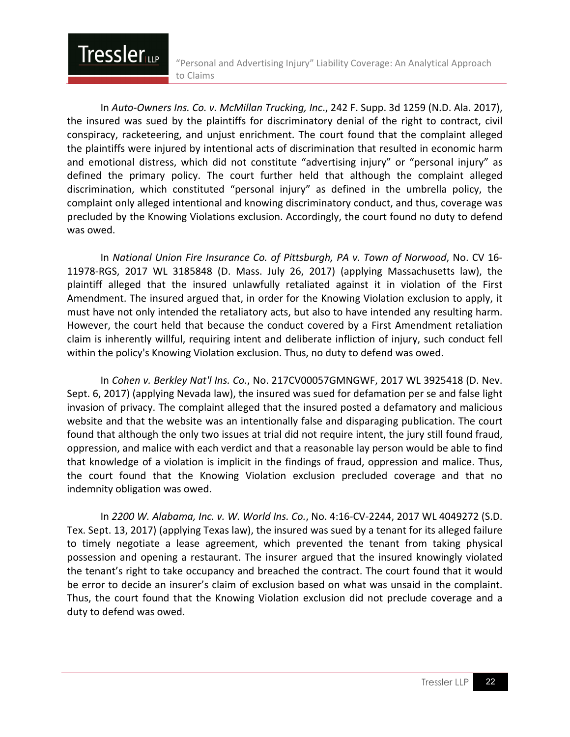In *Auto-Owners Ins. Co. v. McMillan Trucking, Inc*., 242 F. Supp. 3d 1259 (N.D. Ala. 2017), the insured was sued by the plaintiffs for discriminatory denial of the right to contract, civil conspiracy, racketeering, and unjust enrichment. The court found that the complaint alleged the plaintiffs were injured by intentional acts of discrimination that resulted in economic harm and emotional distress, which did not constitute "advertising injury" or "personal injury" as defined the primary policy. The court further held that although the complaint alleged discrimination, which constituted "personal injury" as defined in the umbrella policy, the complaint only alleged intentional and knowing discriminatory conduct, and thus, coverage was precluded by the Knowing Violations exclusion. Accordingly, the court found no duty to defend was owed.

**Tressler** 

In *National Union Fire Insurance Co. of Pittsburgh, PA v. Town of Norwood*, No. CV 16- 11978-RGS, 2017 WL 3185848 (D. Mass. July 26, 2017) (applying Massachusetts law), the plaintiff alleged that the insured unlawfully retaliated against it in violation of the First Amendment. The insured argued that, in order for the Knowing Violation exclusion to apply, it must have not only intended the retaliatory acts, but also to have intended any resulting harm. However, the court held that because the conduct covered by a First Amendment retaliation claim is inherently willful, requiring intent and deliberate infliction of injury, such conduct fell within the policy's Knowing Violation exclusion. Thus, no duty to defend was owed.

In *Cohen v. Berkley Nat'l Ins. Co.*, No. 217CV00057GMNGWF, 2017 WL 3925418 (D. Nev. Sept. 6, 2017) (applying Nevada law), the insured was sued for defamation per se and false light invasion of privacy. The complaint alleged that the insured posted a defamatory and malicious website and that the website was an intentionally false and disparaging publication. The court found that although the only two issues at trial did not require intent, the jury still found fraud, oppression, and malice with each verdict and that a reasonable lay person would be able to find that knowledge of a violation is implicit in the findings of fraud, oppression and malice. Thus, the court found that the Knowing Violation exclusion precluded coverage and that no indemnity obligation was owed.

In *2200 W. Alabama, Inc. v. W. World Ins. Co.*, No. 4:16-CV-2244, 2017 WL 4049272 (S.D. Tex. Sept. 13, 2017) (applying Texas law), the insured was sued by a tenant for its alleged failure to timely negotiate a lease agreement, which prevented the tenant from taking physical possession and opening a restaurant. The insurer argued that the insured knowingly violated the tenant's right to take occupancy and breached the contract. The court found that it would be error to decide an insurer's claim of exclusion based on what was unsaid in the complaint. Thus, the court found that the Knowing Violation exclusion did not preclude coverage and a duty to defend was owed.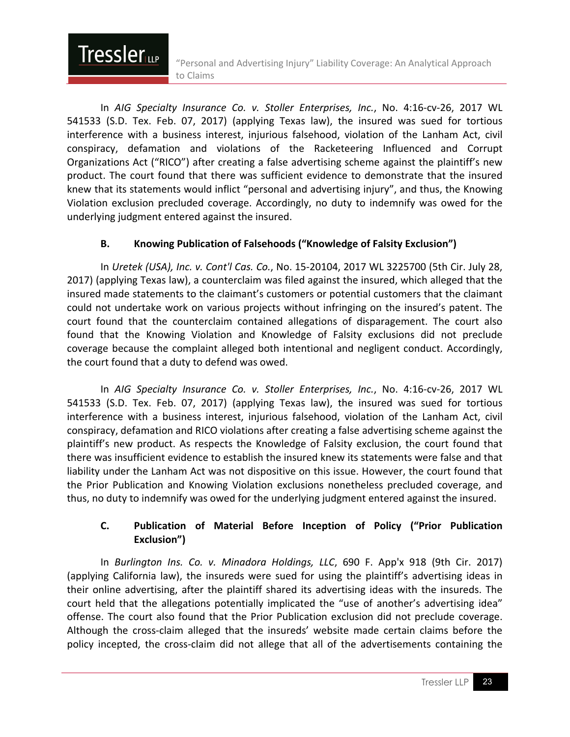In *AIG Specialty Insurance Co. v. Stoller Enterprises, Inc.*, No. 4:16-cv-26, 2017 WL 541533 (S.D. Tex. Feb. 07, 2017) (applying Texas law), the insured was sued for tortious interference with a business interest, injurious falsehood, violation of the Lanham Act, civil conspiracy, defamation and violations of the Racketeering Influenced and Corrupt Organizations Act ("RICO") after creating a false advertising scheme against the plaintiff's new product. The court found that there was sufficient evidence to demonstrate that the insured knew that its statements would inflict "personal and advertising injury", and thus, the Knowing Violation exclusion precluded coverage. Accordingly, no duty to indemnify was owed for the underlying judgment entered against the insured.

**Tressler** 

#### **B. Knowing Publication of Falsehoods ("Knowledge of Falsity Exclusion")**

In *Uretek (USA), Inc. v. Cont'l Cas. Co.*, No. 15-20104, 2017 WL 3225700 (5th Cir. July 28, 2017) (applying Texas law), a counterclaim was filed against the insured, which alleged that the insured made statements to the claimant's customers or potential customers that the claimant could not undertake work on various projects without infringing on the insured's patent. The court found that the counterclaim contained allegations of disparagement. The court also found that the Knowing Violation and Knowledge of Falsity exclusions did not preclude coverage because the complaint alleged both intentional and negligent conduct. Accordingly, the court found that a duty to defend was owed.

In *AIG Specialty Insurance Co. v. Stoller Enterprises, Inc.*, No. 4:16-cv-26, 2017 WL 541533 (S.D. Tex. Feb. 07, 2017) (applying Texas law), the insured was sued for tortious interference with a business interest, injurious falsehood, violation of the Lanham Act, civil conspiracy, defamation and RICO violations after creating a false advertising scheme against the plaintiff's new product. As respects the Knowledge of Falsity exclusion, the court found that there was insufficient evidence to establish the insured knew its statements were false and that liability under the Lanham Act was not dispositive on this issue. However, the court found that the Prior Publication and Knowing Violation exclusions nonetheless precluded coverage, and thus, no duty to indemnify was owed for the underlying judgment entered against the insured.

#### **C. Publication of Material Before Inception of Policy ("Prior Publication Exclusion")**

In *Burlington Ins. Co. v. Minadora Holdings, LLC*, 690 F. App'x 918 (9th Cir. 2017) (applying California law), the insureds were sued for using the plaintiff's advertising ideas in their online advertising, after the plaintiff shared its advertising ideas with the insureds. The court held that the allegations potentially implicated the "use of another's advertising idea" offense. The court also found that the Prior Publication exclusion did not preclude coverage. Although the cross-claim alleged that the insureds' website made certain claims before the policy incepted, the cross-claim did not allege that all of the advertisements containing the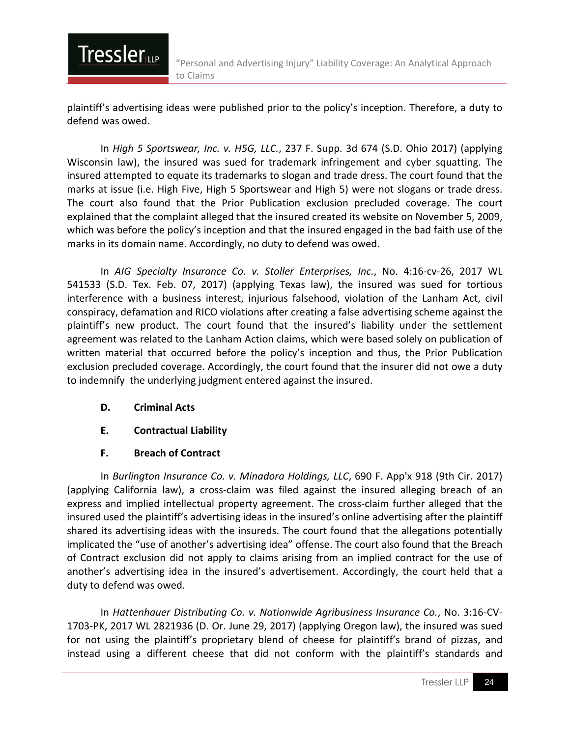plaintiff's advertising ideas were published prior to the policy's inception. Therefore, a duty to defend was owed.

In *High 5 Sportswear, Inc. v. H5G, LLC.*, 237 F. Supp. 3d 674 (S.D. Ohio 2017) (applying Wisconsin law), the insured was sued for trademark infringement and cyber squatting. The insured attempted to equate its trademarks to slogan and trade dress. The court found that the marks at issue (i.e. High Five, High 5 Sportswear and High 5) were not slogans or trade dress. The court also found that the Prior Publication exclusion precluded coverage. The court explained that the complaint alleged that the insured created its website on November 5, 2009, which was before the policy's inception and that the insured engaged in the bad faith use of the marks in its domain name. Accordingly, no duty to defend was owed.

In *AIG Specialty Insurance Co. v. Stoller Enterprises, Inc.*, No. 4:16-cv-26, 2017 WL 541533 (S.D. Tex. Feb. 07, 2017) (applying Texas law), the insured was sued for tortious interference with a business interest, injurious falsehood, violation of the Lanham Act, civil conspiracy, defamation and RICO violations after creating a false advertising scheme against the plaintiff's new product. The court found that the insured's liability under the settlement agreement was related to the Lanham Action claims, which were based solely on publication of written material that occurred before the policy's inception and thus, the Prior Publication exclusion precluded coverage. Accordingly, the court found that the insurer did not owe a duty to indemnify the underlying judgment entered against the insured.

**D. Criminal Acts**

**Tressler** 

- **E. Contractual Liability**
- **F. Breach of Contract**

In *Burlington Insurance Co. v. Minadora Holdings, LLC*, 690 F. App'x 918 (9th Cir. 2017) (applying California law), a cross-claim was filed against the insured alleging breach of an express and implied intellectual property agreement. The cross-claim further alleged that the insured used the plaintiff's advertising ideas in the insured's online advertising after the plaintiff shared its advertising ideas with the insureds. The court found that the allegations potentially implicated the "use of another's advertising idea" offense. The court also found that the Breach of Contract exclusion did not apply to claims arising from an implied contract for the use of another's advertising idea in the insured's advertisement. Accordingly, the court held that a duty to defend was owed.

In *Hattenhauer Distributing Co. v. Nationwide Agribusiness Insurance Co.*, No. 3:16-CV-1703-PK, 2017 WL 2821936 (D. Or. June 29, 2017) (applying Oregon law), the insured was sued for not using the plaintiff's proprietary blend of cheese for plaintiff's brand of pizzas, and instead using a different cheese that did not conform with the plaintiff's standards and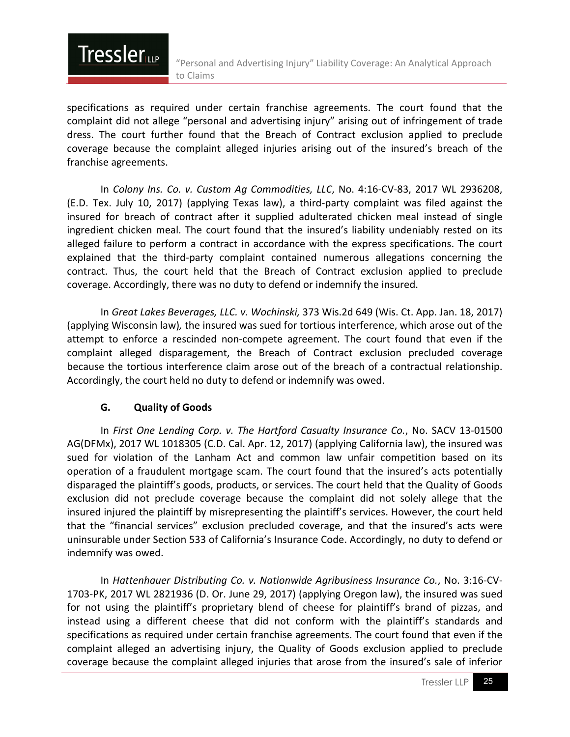

specifications as required under certain franchise agreements. The court found that the complaint did not allege "personal and advertising injury" arising out of infringement of trade dress. The court further found that the Breach of Contract exclusion applied to preclude coverage because the complaint alleged injuries arising out of the insured's breach of the franchise agreements.

In *Colony Ins. Co. v. Custom Ag Commodities, LLC*, No. 4:16-CV-83, 2017 WL 2936208, (E.D. Tex. July 10, 2017) (applying Texas law), a third-party complaint was filed against the insured for breach of contract after it supplied adulterated chicken meal instead of single ingredient chicken meal. The court found that the insured's liability undeniably rested on its alleged failure to perform a contract in accordance with the express specifications. The court explained that the third-party complaint contained numerous allegations concerning the contract. Thus, the court held that the Breach of Contract exclusion applied to preclude coverage. Accordingly, there was no duty to defend or indemnify the insured.

In *Great Lakes Beverages, LLC. v. Wochinski,* 373 Wis.2d 649 (Wis. Ct. App. Jan. 18, 2017) (applying Wisconsin law)*,* the insured was sued for tortious interference, which arose out of the attempt to enforce a rescinded non-compete agreement. The court found that even if the complaint alleged disparagement, the Breach of Contract exclusion precluded coverage because the tortious interference claim arose out of the breach of a contractual relationship. Accordingly, the court held no duty to defend or indemnify was owed.

#### **G. Quality of Goods**

In *First One Lending Corp. v. The Hartford Casualty Insurance Co.*, No. SACV 13-01500 AG(DFMx), 2017 WL 1018305 (C.D. Cal. Apr. 12, 2017) (applying California law), the insured was sued for violation of the Lanham Act and common law unfair competition based on its operation of a fraudulent mortgage scam. The court found that the insured's acts potentially disparaged the plaintiff's goods, products, or services. The court held that the Quality of Goods exclusion did not preclude coverage because the complaint did not solely allege that the insured injured the plaintiff by misrepresenting the plaintiff's services. However, the court held that the "financial services" exclusion precluded coverage, and that the insured's acts were uninsurable under Section 533 of California's Insurance Code. Accordingly, no duty to defend or indemnify was owed.

In *Hattenhauer Distributing Co. v. Nationwide Agribusiness Insurance Co.*, No. 3:16-CV-1703-PK, 2017 WL 2821936 (D. Or. June 29, 2017) (applying Oregon law), the insured was sued for not using the plaintiff's proprietary blend of cheese for plaintiff's brand of pizzas, and instead using a different cheese that did not conform with the plaintiff's standards and specifications as required under certain franchise agreements. The court found that even if the complaint alleged an advertising injury, the Quality of Goods exclusion applied to preclude coverage because the complaint alleged injuries that arose from the insured's sale of inferior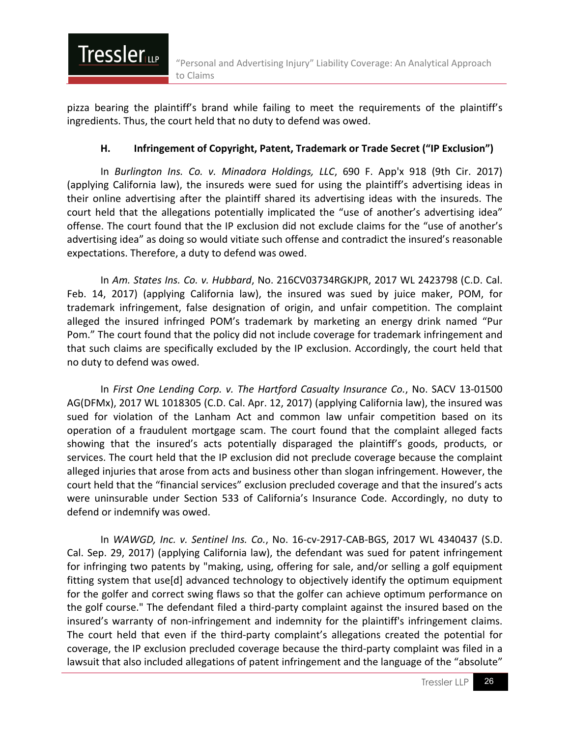pizza bearing the plaintiff's brand while failing to meet the requirements of the plaintiff's ingredients. Thus, the court held that no duty to defend was owed.

**Tressler** 

#### **H. Infringement of Copyright, Patent, Trademark or Trade Secret ("IP Exclusion")**

In *Burlington Ins. Co. v. Minadora Holdings, LLC*, 690 F. App'x 918 (9th Cir. 2017) (applying California law), the insureds were sued for using the plaintiff's advertising ideas in their online advertising after the plaintiff shared its advertising ideas with the insureds. The court held that the allegations potentially implicated the "use of another's advertising idea" offense. The court found that the IP exclusion did not exclude claims for the "use of another's advertising idea" as doing so would vitiate such offense and contradict the insured's reasonable expectations. Therefore, a duty to defend was owed.

In *Am. States Ins. Co. v. Hubbard*, No. 216CV03734RGKJPR, 2017 WL 2423798 (C.D. Cal. Feb. 14, 2017) (applying California law), the insured was sued by juice maker, POM, for trademark infringement, false designation of origin, and unfair competition. The complaint alleged the insured infringed POM's trademark by marketing an energy drink named "Pur Pom." The court found that the policy did not include coverage for trademark infringement and that such claims are specifically excluded by the IP exclusion. Accordingly, the court held that no duty to defend was owed.

In *First One Lending Corp. v. The Hartford Casualty Insurance Co.*, No. SACV 13-01500 AG(DFMx), 2017 WL 1018305 (C.D. Cal. Apr. 12, 2017) (applying California law), the insured was sued for violation of the Lanham Act and common law unfair competition based on its operation of a fraudulent mortgage scam. The court found that the complaint alleged facts showing that the insured's acts potentially disparaged the plaintiff's goods, products, or services. The court held that the IP exclusion did not preclude coverage because the complaint alleged injuries that arose from acts and business other than slogan infringement. However, the court held that the "financial services" exclusion precluded coverage and that the insured's acts were uninsurable under Section 533 of California's Insurance Code. Accordingly, no duty to defend or indemnify was owed.

In *WAWGD, Inc. v. Sentinel Ins. Co.*, No. 16-cv-2917-CAB-BGS, 2017 WL 4340437 (S.D. Cal. Sep. 29, 2017) (applying California law), the defendant was sued for patent infringement for infringing two patents by "making, using, offering for sale, and/or selling a golf equipment fitting system that use[d] advanced technology to objectively identify the optimum equipment for the golfer and correct swing flaws so that the golfer can achieve optimum performance on the golf course." The defendant filed a third-party complaint against the insured based on the insured's warranty of non-infringement and indemnity for the plaintiff's infringement claims. The court held that even if the third-party complaint's allegations created the potential for coverage, the IP exclusion precluded coverage because the third-party complaint was filed in a lawsuit that also included allegations of patent infringement and the language of the "absolute"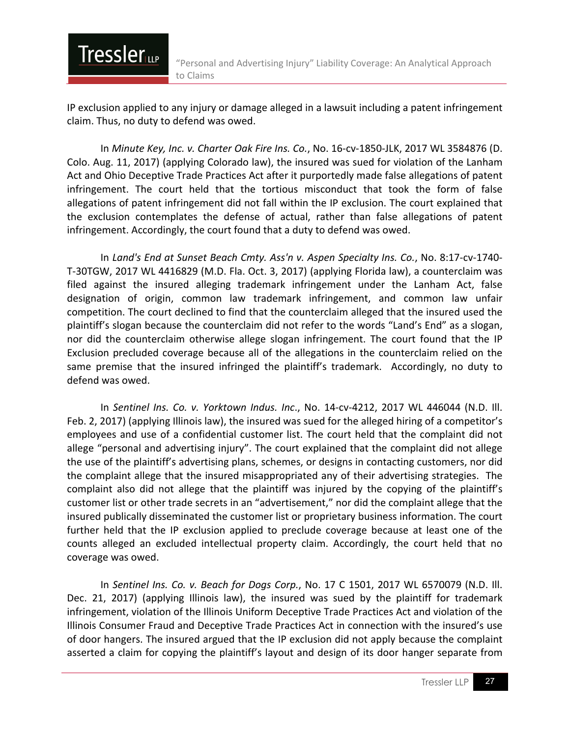IP exclusion applied to any injury or damage alleged in a lawsuit including a patent infringement claim. Thus, no duty to defend was owed.

**Tressler** 

In *Minute Key, Inc. v. Charter Oak Fire Ins. Co.*, No. 16-cv-1850-JLK, 2017 WL 3584876 (D. Colo. Aug. 11, 2017) (applying Colorado law), the insured was sued for violation of the Lanham Act and Ohio Deceptive Trade Practices Act after it purportedly made false allegations of patent infringement. The court held that the tortious misconduct that took the form of false allegations of patent infringement did not fall within the IP exclusion. The court explained that the exclusion contemplates the defense of actual, rather than false allegations of patent infringement. Accordingly, the court found that a duty to defend was owed.

In *Land's End at Sunset Beach Cmty. Ass'n v. Aspen Specialty Ins. Co.*, No. 8:17-cv-1740- T-30TGW, 2017 WL 4416829 (M.D. Fla. Oct. 3, 2017) (applying Florida law), a counterclaim was filed against the insured alleging trademark infringement under the Lanham Act, false designation of origin, common law trademark infringement, and common law unfair competition. The court declined to find that the counterclaim alleged that the insured used the plaintiff's slogan because the counterclaim did not refer to the words "Land's End" as a slogan, nor did the counterclaim otherwise allege slogan infringement. The court found that the IP Exclusion precluded coverage because all of the allegations in the counterclaim relied on the same premise that the insured infringed the plaintiff's trademark. Accordingly, no duty to defend was owed.

In *Sentinel Ins. Co. v. Yorktown Indus. Inc*., No. 14-cv-4212, 2017 WL 446044 (N.D. Ill. Feb. 2, 2017) (applying Illinois law), the insured was sued for the alleged hiring of a competitor's employees and use of a confidential customer list. The court held that the complaint did not allege "personal and advertising injury". The court explained that the complaint did not allege the use of the plaintiff's advertising plans, schemes, or designs in contacting customers, nor did the complaint allege that the insured misappropriated any of their advertising strategies. The complaint also did not allege that the plaintiff was injured by the copying of the plaintiff's customer list or other trade secrets in an "advertisement," nor did the complaint allege that the insured publically disseminated the customer list or proprietary business information. The court further held that the IP exclusion applied to preclude coverage because at least one of the counts alleged an excluded intellectual property claim. Accordingly, the court held that no coverage was owed.

In *Sentinel Ins. Co. v. Beach for Dogs Corp.*, No. 17 C 1501, 2017 WL 6570079 (N.D. Ill. Dec. 21, 2017) (applying Illinois law), the insured was sued by the plaintiff for trademark infringement, violation of the Illinois Uniform Deceptive Trade Practices Act and violation of the Illinois Consumer Fraud and Deceptive Trade Practices Act in connection with the insured's use of door hangers. The insured argued that the IP exclusion did not apply because the complaint asserted a claim for copying the plaintiff's layout and design of its door hanger separate from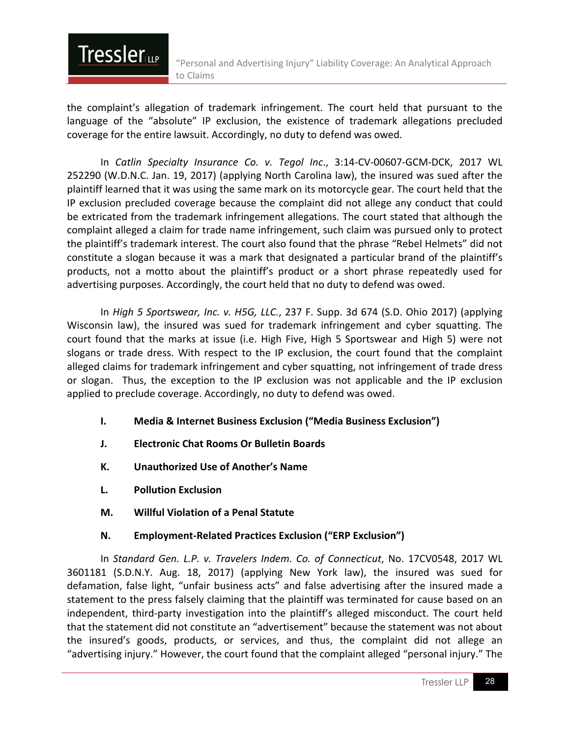the complaint's allegation of trademark infringement. The court held that pursuant to the language of the "absolute" IP exclusion, the existence of trademark allegations precluded coverage for the entire lawsuit. Accordingly, no duty to defend was owed.

In *Catlin Specialty Insurance Co. v. Tegol Inc*., 3:14-CV-00607-GCM-DCK, 2017 WL 252290 (W.D.N.C. Jan. 19, 2017) (applying North Carolina law), the insured was sued after the plaintiff learned that it was using the same mark on its motorcycle gear. The court held that the IP exclusion precluded coverage because the complaint did not allege any conduct that could be extricated from the trademark infringement allegations. The court stated that although the complaint alleged a claim for trade name infringement, such claim was pursued only to protect the plaintiff's trademark interest. The court also found that the phrase "Rebel Helmets" did not constitute a slogan because it was a mark that designated a particular brand of the plaintiff's products, not a motto about the plaintiff's product or a short phrase repeatedly used for advertising purposes. Accordingly, the court held that no duty to defend was owed.

In *High 5 Sportswear, Inc. v. H5G, LLC.*, 237 F. Supp. 3d 674 (S.D. Ohio 2017) (applying Wisconsin law), the insured was sued for trademark infringement and cyber squatting. The court found that the marks at issue (i.e. High Five, High 5 Sportswear and High 5) were not slogans or trade dress. With respect to the IP exclusion, the court found that the complaint alleged claims for trademark infringement and cyber squatting, not infringement of trade dress or slogan. Thus, the exception to the IP exclusion was not applicable and the IP exclusion applied to preclude coverage. Accordingly, no duty to defend was owed.

- **I. Media & Internet Business Exclusion ("Media Business Exclusion")**
- **J. Electronic Chat Rooms Or Bulletin Boards**
- **K. Unauthorized Use of Another's Name**
- **L. Pollution Exclusion**

**Tressler** 

**M. Willful Violation of a Penal Statute**

#### **N. Employment-Related Practices Exclusion ("ERP Exclusion")**

In *Standard Gen. L.P. v. Travelers Indem. Co. of Connecticut*, No. 17CV0548, 2017 WL 3601181 (S.D.N.Y. Aug. 18, 2017) (applying New York law), the insured was sued for defamation, false light, "unfair business acts" and false advertising after the insured made a statement to the press falsely claiming that the plaintiff was terminated for cause based on an independent, third-party investigation into the plaintiff's alleged misconduct. The court held that the statement did not constitute an "advertisement" because the statement was not about the insured's goods, products, or services, and thus, the complaint did not allege an "advertising injury." However, the court found that the complaint alleged "personal injury." The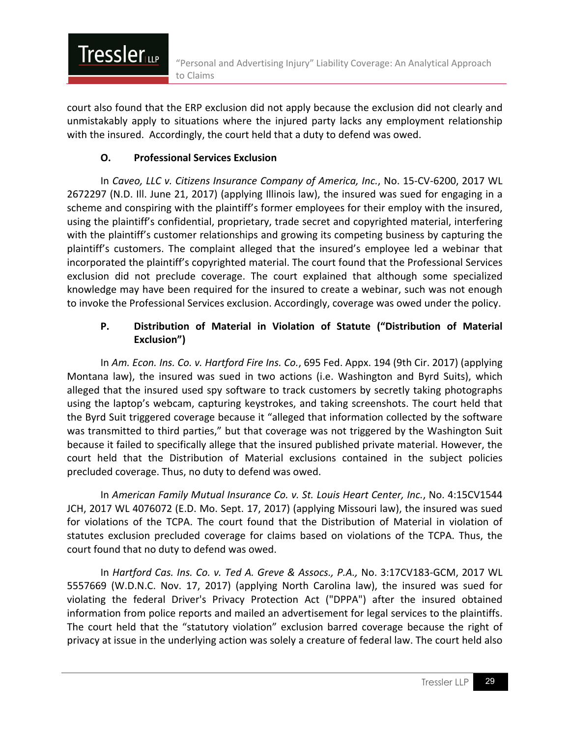court also found that the ERP exclusion did not apply because the exclusion did not clearly and unmistakably apply to situations where the injured party lacks any employment relationship with the insured. Accordingly, the court held that a duty to defend was owed.

#### **O. Professional Services Exclusion**

**Tressler** 

In *Caveo, LLC v. Citizens Insurance Company of America, Inc.*, No. 15-CV-6200, 2017 WL 2672297 (N.D. Ill. June 21, 2017) (applying Illinois law), the insured was sued for engaging in a scheme and conspiring with the plaintiff's former employees for their employ with the insured, using the plaintiff's confidential, proprietary, trade secret and copyrighted material, interfering with the plaintiff's customer relationships and growing its competing business by capturing the plaintiff's customers. The complaint alleged that the insured's employee led a webinar that incorporated the plaintiff's copyrighted material. The court found that the Professional Services exclusion did not preclude coverage. The court explained that although some specialized knowledge may have been required for the insured to create a webinar, such was not enough to invoke the Professional Services exclusion. Accordingly, coverage was owed under the policy.

#### **P. Distribution of Material in Violation of Statute ("Distribution of Material Exclusion")**

In *Am. Econ. Ins. Co. v. Hartford Fire Ins. Co.*, 695 Fed. Appx. 194 (9th Cir. 2017) (applying Montana law), the insured was sued in two actions (i.e. Washington and Byrd Suits), which alleged that the insured used spy software to track customers by secretly taking photographs using the laptop's webcam, capturing keystrokes, and taking screenshots. The court held that the Byrd Suit triggered coverage because it "alleged that information collected by the software was transmitted to third parties," but that coverage was not triggered by the Washington Suit because it failed to specifically allege that the insured published private material. However, the court held that the Distribution of Material exclusions contained in the subject policies precluded coverage. Thus, no duty to defend was owed.

In *American Family Mutual Insurance Co. v. St. Louis Heart Center, Inc.*, No. 4:15CV1544 JCH, 2017 WL 4076072 (E.D. Mo. Sept. 17, 2017) (applying Missouri law), the insured was sued for violations of the TCPA. The court found that the Distribution of Material in violation of statutes exclusion precluded coverage for claims based on violations of the TCPA. Thus, the court found that no duty to defend was owed.

In *Hartford Cas. Ins. Co. v. Ted A. Greve & Assocs., P.A.,* No. 3:17CV183-GCM, 2017 WL 5557669 (W.D.N.C. Nov. 17, 2017) (applying North Carolina law), the insured was sued for violating the federal Driver's Privacy Protection Act ("DPPA") after the insured obtained information from police reports and mailed an advertisement for legal services to the plaintiffs. The court held that the "statutory violation" exclusion barred coverage because the right of privacy at issue in the underlying action was solely a creature of federal law. The court held also